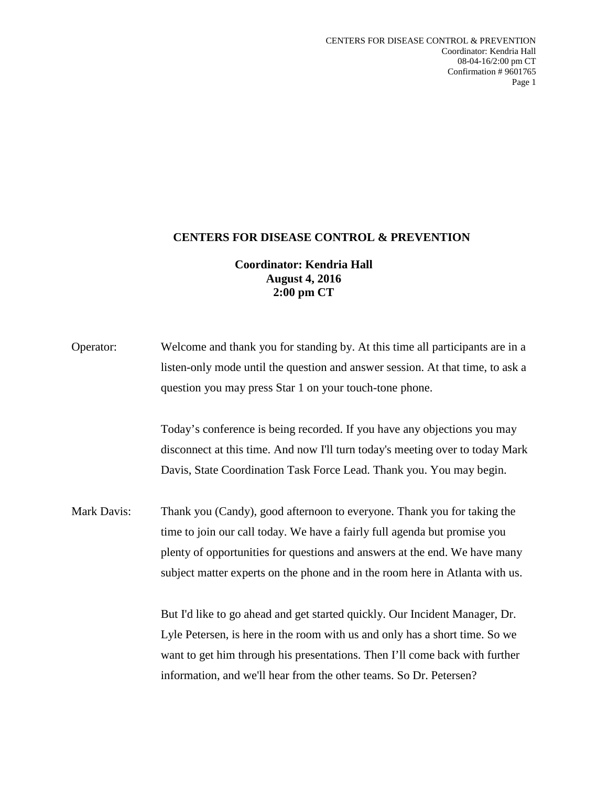## **CENTERS FOR DISEASE CONTROL & PREVENTION**

## **Coordinator: Kendria Hall August 4, 2016 2:00 pm CT**

| Operator:   | Welcome and thank you for standing by. At this time all participants are in a  |
|-------------|--------------------------------------------------------------------------------|
|             | listen-only mode until the question and answer session. At that time, to ask a |
|             | question you may press Star 1 on your touch-tone phone.                        |
|             | Today's conference is being recorded. If you have any objections you may       |
|             | disconnect at this time. And now I'll turn today's meeting over to today Mark  |
|             | Davis, State Coordination Task Force Lead. Thank you. You may begin.           |
| Mark Davis: | Thank you (Candy), good afternoon to everyone. Thank you for taking the        |
|             | time to join our call today. We have a fairly full agenda but promise you      |
|             | plenty of opportunities for questions and answers at the end. We have many     |
|             | subject matter experts on the phone and in the room here in Atlanta with us.   |
|             | But I'd like to go ahead and get started quickly. Our Incident Manager, Dr.    |
|             | Lyle Petersen, is here in the room with us and only has a short time. So we    |
|             | want to get him through his presentations. Then I'll come back with further    |
|             | information, and we'll hear from the other teams. So Dr. Petersen?             |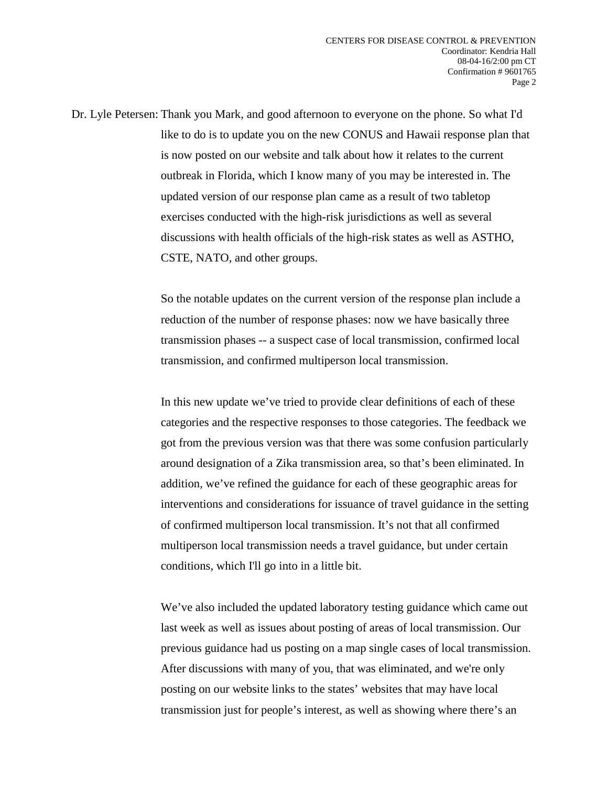Dr. Lyle Petersen: Thank you Mark, and good afternoon to everyone on the phone. So what I'd like to do is to update you on the new CONUS and Hawaii response plan that is now posted on our website and talk about how it relates to the current outbreak in Florida, which I know many of you may be interested in. The updated version of our response plan came as a result of two tabletop exercises conducted with the high-risk jurisdictions as well as several discussions with health officials of the high-risk states as well as ASTHO, CSTE, NATO, and other groups.

> So the notable updates on the current version of the response plan include a reduction of the number of response phases: now we have basically three transmission phases -- a suspect case of local transmission, confirmed local transmission, and confirmed multiperson local transmission.

In this new update we've tried to provide clear definitions of each of these categories and the respective responses to those categories. The feedback we got from the previous version was that there was some confusion particularly around designation of a Zika transmission area, so that's been eliminated. In addition, we've refined the guidance for each of these geographic areas for interventions and considerations for issuance of travel guidance in the setting of confirmed multiperson local transmission. It's not that all confirmed multiperson local transmission needs a travel guidance, but under certain conditions, which I'll go into in a little bit.

We've also included the updated laboratory testing guidance which came out last week as well as issues about posting of areas of local transmission. Our previous guidance had us posting on a map single cases of local transmission. After discussions with many of you, that was eliminated, and we're only posting on our website links to the states' websites that may have local transmission just for people's interest, as well as showing where there's an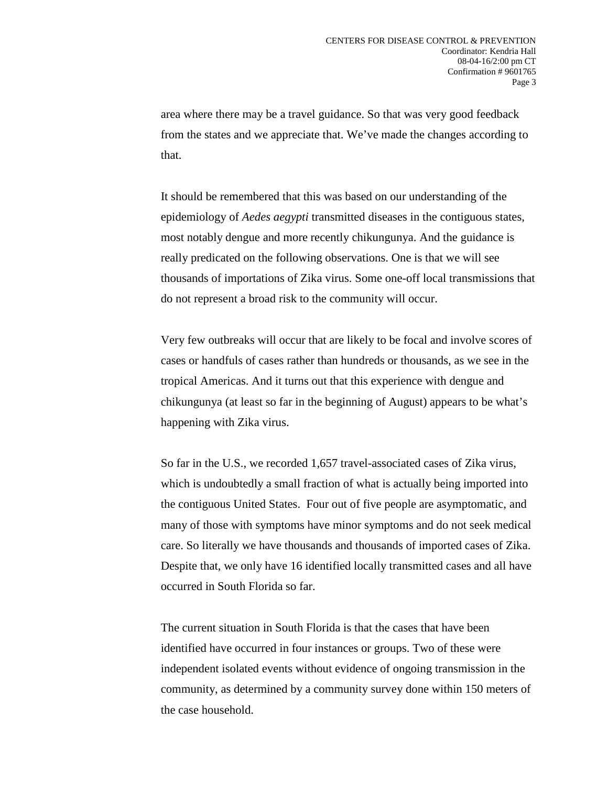area where there may be a travel guidance. So that was very good feedback from the states and we appreciate that. We've made the changes according to that.

It should be remembered that this was based on our understanding of the epidemiology of *Aedes aegypti* transmitted diseases in the contiguous states, most notably dengue and more recently chikungunya. And the guidance is really predicated on the following observations. One is that we will see thousands of importations of Zika virus. Some one-off local transmissions that do not represent a broad risk to the community will occur.

Very few outbreaks will occur that are likely to be focal and involve scores of cases or handfuls of cases rather than hundreds or thousands, as we see in the tropical Americas. And it turns out that this experience with dengue and chikungunya (at least so far in the beginning of August) appears to be what's happening with Zika virus.

So far in the U.S., we recorded 1,657 travel-associated cases of Zika virus, which is undoubtedly a small fraction of what is actually being imported into the contiguous United States. Four out of five people are asymptomatic, and many of those with symptoms have minor symptoms and do not seek medical care. So literally we have thousands and thousands of imported cases of Zika. Despite that, we only have 16 identified locally transmitted cases and all have occurred in South Florida so far.

The current situation in South Florida is that the cases that have been identified have occurred in four instances or groups. Two of these were independent isolated events without evidence of ongoing transmission in the community, as determined by a community survey done within 150 meters of the case household.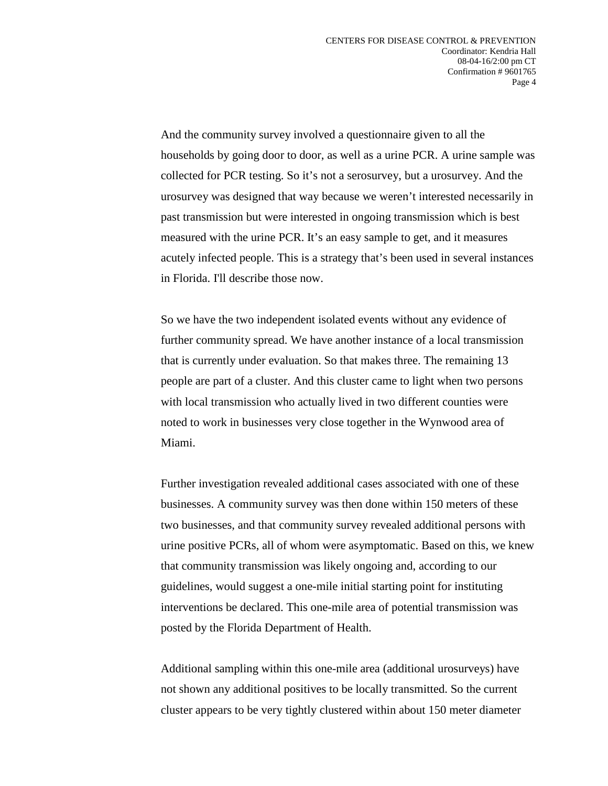And the community survey involved a questionnaire given to all the households by going door to door, as well as a urine PCR. A urine sample was collected for PCR testing. So it's not a serosurvey, but a urosurvey. And the urosurvey was designed that way because we weren't interested necessarily in past transmission but were interested in ongoing transmission which is best measured with the urine PCR. It's an easy sample to get, and it measures acutely infected people. This is a strategy that's been used in several instances in Florida. I'll describe those now.

So we have the two independent isolated events without any evidence of further community spread. We have another instance of a local transmission that is currently under evaluation. So that makes three. The remaining 13 people are part of a cluster. And this cluster came to light when two persons with local transmission who actually lived in two different counties were noted to work in businesses very close together in the Wynwood area of Miami.

Further investigation revealed additional cases associated with one of these businesses. A community survey was then done within 150 meters of these two businesses, and that community survey revealed additional persons with urine positive PCRs, all of whom were asymptomatic. Based on this, we knew that community transmission was likely ongoing and, according to our guidelines, would suggest a one-mile initial starting point for instituting interventions be declared. This one-mile area of potential transmission was posted by the Florida Department of Health.

Additional sampling within this one-mile area (additional urosurveys) have not shown any additional positives to be locally transmitted. So the current cluster appears to be very tightly clustered within about 150 meter diameter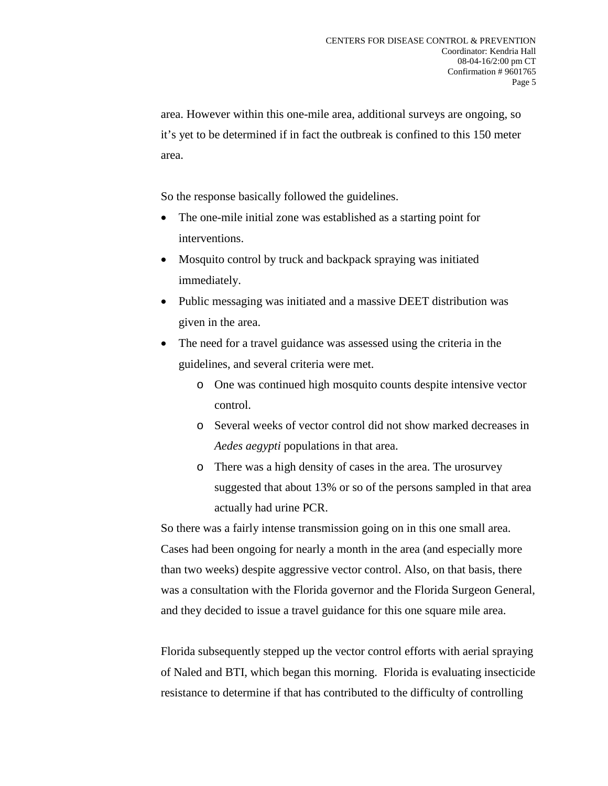area. However within this one-mile area, additional surveys are ongoing, so it's yet to be determined if in fact the outbreak is confined to this 150 meter area.

So the response basically followed the guidelines.

- The one-mile initial zone was established as a starting point for interventions.
- Mosquito control by truck and backpack spraying was initiated immediately.
- Public messaging was initiated and a massive DEET distribution was given in the area.
- The need for a travel guidance was assessed using the criteria in the guidelines, and several criteria were met.
	- o One was continued high mosquito counts despite intensive vector control.
	- o Several weeks of vector control did not show marked decreases in *Aedes aegypti* populations in that area.
	- o There was a high density of cases in the area. The urosurvey suggested that about 13% or so of the persons sampled in that area actually had urine PCR.

So there was a fairly intense transmission going on in this one small area. Cases had been ongoing for nearly a month in the area (and especially more than two weeks) despite aggressive vector control. Also, on that basis, there was a consultation with the Florida governor and the Florida Surgeon General, and they decided to issue a travel guidance for this one square mile area.

Florida subsequently stepped up the vector control efforts with aerial spraying of Naled and BTI, which began this morning. Florida is evaluating insecticide resistance to determine if that has contributed to the difficulty of controlling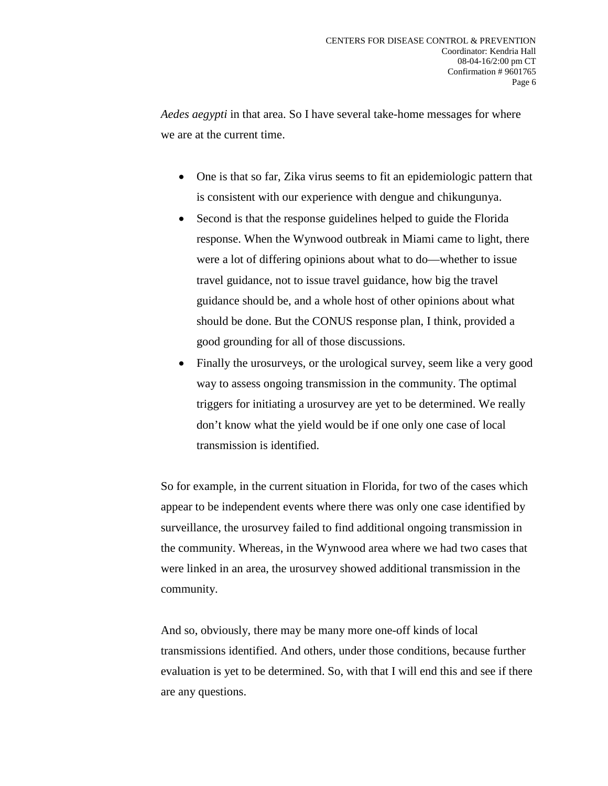*Aedes aegypti* in that area. So I have several take-home messages for where we are at the current time.

- One is that so far, Zika virus seems to fit an epidemiologic pattern that is consistent with our experience with dengue and chikungunya.
- Second is that the response guidelines helped to guide the Florida response. When the Wynwood outbreak in Miami came to light, there were a lot of differing opinions about what to do—whether to issue travel guidance, not to issue travel guidance, how big the travel guidance should be, and a whole host of other opinions about what should be done. But the CONUS response plan, I think, provided a good grounding for all of those discussions.
- Finally the urosurveys, or the urological survey, seem like a very good way to assess ongoing transmission in the community. The optimal triggers for initiating a urosurvey are yet to be determined. We really don't know what the yield would be if one only one case of local transmission is identified.

So for example, in the current situation in Florida, for two of the cases which appear to be independent events where there was only one case identified by surveillance, the urosurvey failed to find additional ongoing transmission in the community. Whereas, in the Wynwood area where we had two cases that were linked in an area, the urosurvey showed additional transmission in the community.

And so, obviously, there may be many more one-off kinds of local transmissions identified. And others, under those conditions, because further evaluation is yet to be determined. So, with that I will end this and see if there are any questions.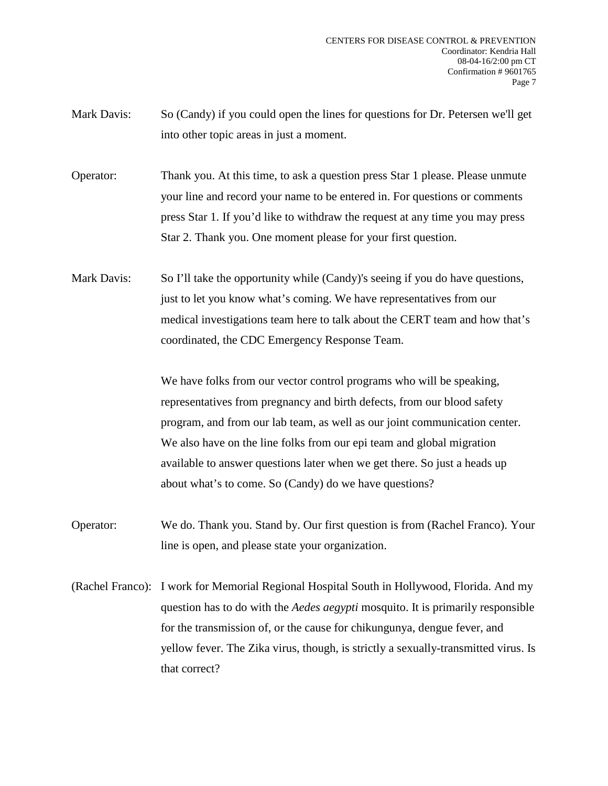Mark Davis: So (Candy) if you could open the lines for questions for Dr. Petersen we'll get into other topic areas in just a moment.

Operator: Thank you. At this time, to ask a question press Star 1 please. Please unmute your line and record your name to be entered in. For questions or comments press Star 1. If you'd like to withdraw the request at any time you may press Star 2. Thank you. One moment please for your first question.

Mark Davis: So I'll take the opportunity while (Candy)'s seeing if you do have questions, just to let you know what's coming. We have representatives from our medical investigations team here to talk about the CERT team and how that's coordinated, the CDC Emergency Response Team.

> We have folks from our vector control programs who will be speaking, representatives from pregnancy and birth defects, from our blood safety program, and from our lab team, as well as our joint communication center. We also have on the line folks from our epi team and global migration available to answer questions later when we get there. So just a heads up about what's to come. So (Candy) do we have questions?

- Operator: We do. Thank you. Stand by. Our first question is from (Rachel Franco). Your line is open, and please state your organization.
- (Rachel Franco): I work for Memorial Regional Hospital South in Hollywood, Florida. And my question has to do with the *Aedes aegypti* mosquito. It is primarily responsible for the transmission of, or the cause for chikungunya, dengue fever, and yellow fever. The Zika virus, though, is strictly a sexually-transmitted virus. Is that correct?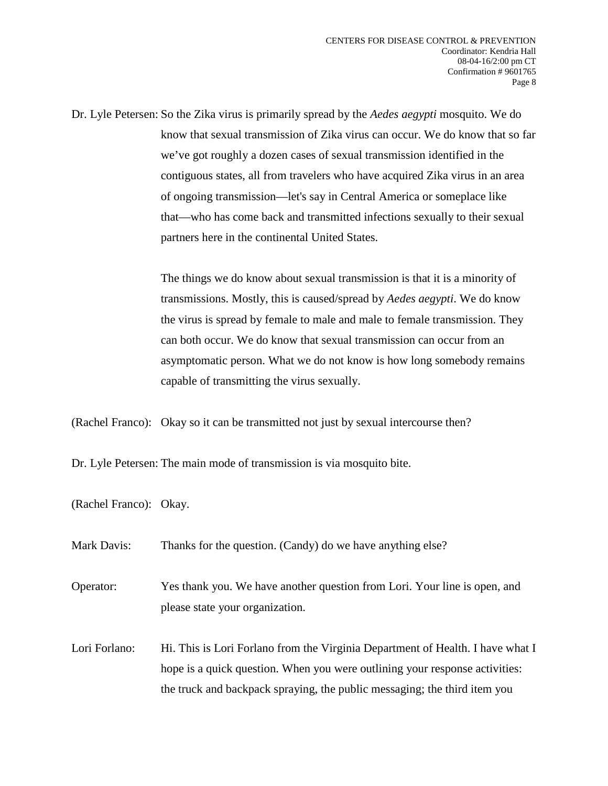Dr. Lyle Petersen: So the Zika virus is primarily spread by the *Aedes aegypti* mosquito. We do know that sexual transmission of Zika virus can occur. We do know that so far we've got roughly a dozen cases of sexual transmission identified in the contiguous states, all from travelers who have acquired Zika virus in an area of ongoing transmission—let's say in Central America or someplace like that—who has come back and transmitted infections sexually to their sexual partners here in the continental United States.

> The things we do know about sexual transmission is that it is a minority of transmissions. Mostly, this is caused/spread by *Aedes aegypti*. We do know the virus is spread by female to male and male to female transmission. They can both occur. We do know that sexual transmission can occur from an asymptomatic person. What we do not know is how long somebody remains capable of transmitting the virus sexually.

(Rachel Franco): Okay so it can be transmitted not just by sexual intercourse then?

Dr. Lyle Petersen: The main mode of transmission is via mosquito bite.

(Rachel Franco): Okay.

| Mark Davis:   | Thanks for the question. (Candy) do we have anything else?                                                                                                    |
|---------------|---------------------------------------------------------------------------------------------------------------------------------------------------------------|
| Operator:     | Yes thank you. We have another question from Lori. Your line is open, and<br>please state your organization.                                                  |
| Lori Forlano: | Hi. This is Lori Forlano from the Virginia Department of Health. I have what I<br>hope is a quick question. When you were outlining your response activities: |
|               | the truck and backpack spraying, the public messaging; the third item you                                                                                     |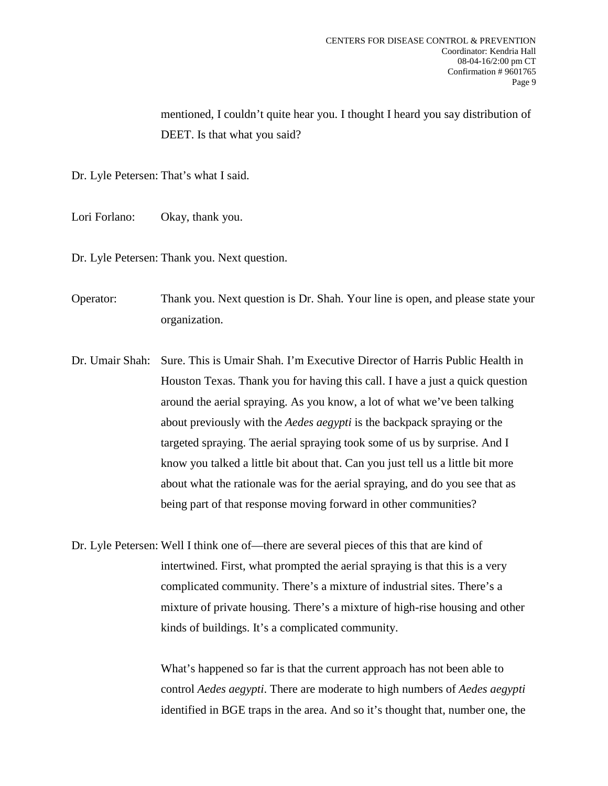mentioned, I couldn't quite hear you. I thought I heard you say distribution of DEET. Is that what you said?

Dr. Lyle Petersen: That's what I said.

- Lori Forlano: Okay, thank you.
- Dr. Lyle Petersen: Thank you. Next question.

Operator: Thank you. Next question is Dr. Shah. Your line is open, and please state your organization.

Dr. Umair Shah: Sure. This is Umair Shah. I'm Executive Director of Harris Public Health in Houston Texas. Thank you for having this call. I have a just a quick question around the aerial spraying. As you know, a lot of what we've been talking about previously with the *Aedes aegypti* is the backpack spraying or the targeted spraying. The aerial spraying took some of us by surprise. And I know you talked a little bit about that. Can you just tell us a little bit more about what the rationale was for the aerial spraying, and do you see that as being part of that response moving forward in other communities?

Dr. Lyle Petersen: Well I think one of—there are several pieces of this that are kind of intertwined. First, what prompted the aerial spraying is that this is a very complicated community. There's a mixture of industrial sites. There's a mixture of private housing. There's a mixture of high-rise housing and other kinds of buildings. It's a complicated community.

> What's happened so far is that the current approach has not been able to control *Aedes aegypti*. There are moderate to high numbers of *Aedes aegypti* identified in BGE traps in the area. And so it's thought that, number one, the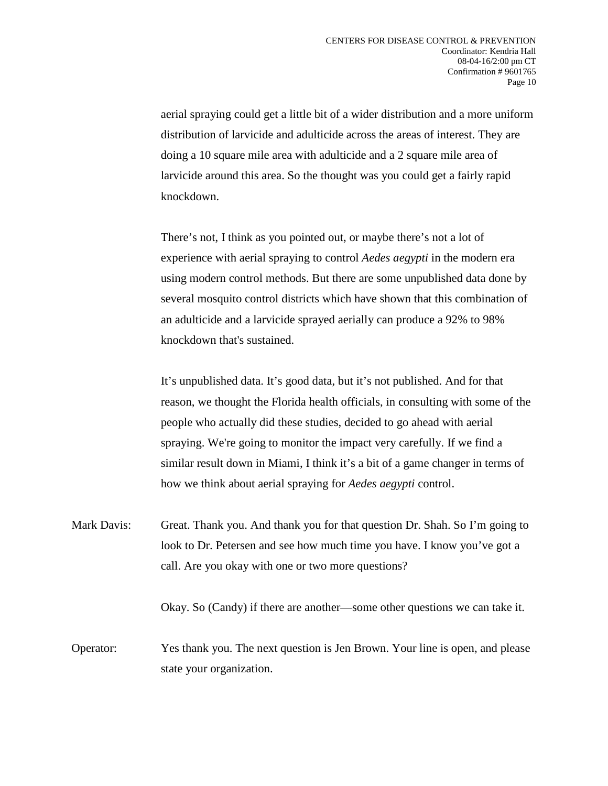aerial spraying could get a little bit of a wider distribution and a more uniform distribution of larvicide and adulticide across the areas of interest. They are doing a 10 square mile area with adulticide and a 2 square mile area of larvicide around this area. So the thought was you could get a fairly rapid knockdown.

There's not, I think as you pointed out, or maybe there's not a lot of experience with aerial spraying to control *Aedes aegypti* in the modern era using modern control methods. But there are some unpublished data done by several mosquito control districts which have shown that this combination of an adulticide and a larvicide sprayed aerially can produce a 92% to 98% knockdown that's sustained.

It's unpublished data. It's good data, but it's not published. And for that reason, we thought the Florida health officials, in consulting with some of the people who actually did these studies, decided to go ahead with aerial spraying. We're going to monitor the impact very carefully. If we find a similar result down in Miami, I think it's a bit of a game changer in terms of how we think about aerial spraying for *Aedes aegypti* control.

Mark Davis: Great. Thank you. And thank you for that question Dr. Shah. So I'm going to look to Dr. Petersen and see how much time you have. I know you've got a call. Are you okay with one or two more questions?

Okay. So (Candy) if there are another—some other questions we can take it.

Operator: Yes thank you. The next question is Jen Brown. Your line is open, and please state your organization.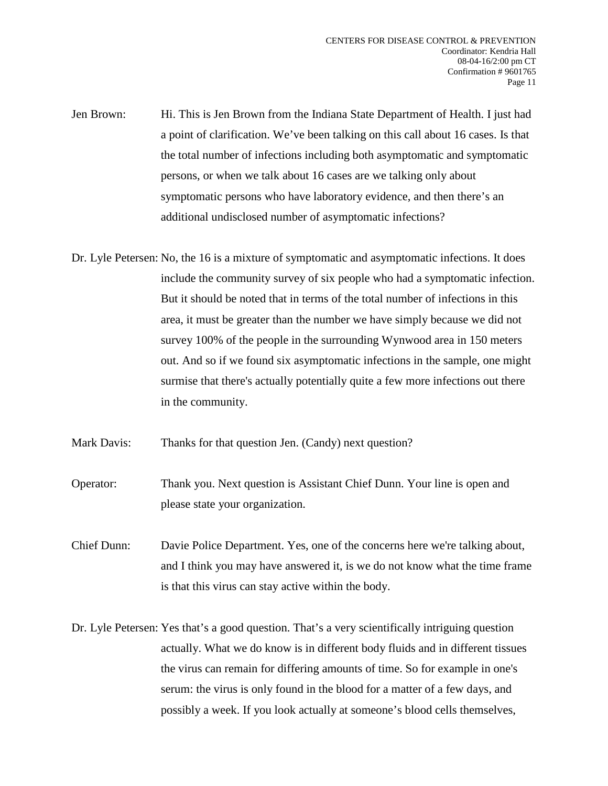- Jen Brown: Hi. This is Jen Brown from the Indiana State Department of Health. I just had a point of clarification. We've been talking on this call about 16 cases. Is that the total number of infections including both asymptomatic and symptomatic persons, or when we talk about 16 cases are we talking only about symptomatic persons who have laboratory evidence, and then there's an additional undisclosed number of asymptomatic infections?
- Dr. Lyle Petersen: No, the 16 is a mixture of symptomatic and asymptomatic infections. It does include the community survey of six people who had a symptomatic infection. But it should be noted that in terms of the total number of infections in this area, it must be greater than the number we have simply because we did not survey 100% of the people in the surrounding Wynwood area in 150 meters out. And so if we found six asymptomatic infections in the sample, one might surmise that there's actually potentially quite a few more infections out there in the community.
- Mark Davis: Thanks for that question Jen. (Candy) next question?
- Operator: Thank you. Next question is Assistant Chief Dunn. Your line is open and please state your organization.
- Chief Dunn: Davie Police Department. Yes, one of the concerns here we're talking about, and I think you may have answered it, is we do not know what the time frame is that this virus can stay active within the body.
- Dr. Lyle Petersen: Yes that's a good question. That's a very scientifically intriguing question actually. What we do know is in different body fluids and in different tissues the virus can remain for differing amounts of time. So for example in one's serum: the virus is only found in the blood for a matter of a few days, and possibly a week. If you look actually at someone's blood cells themselves,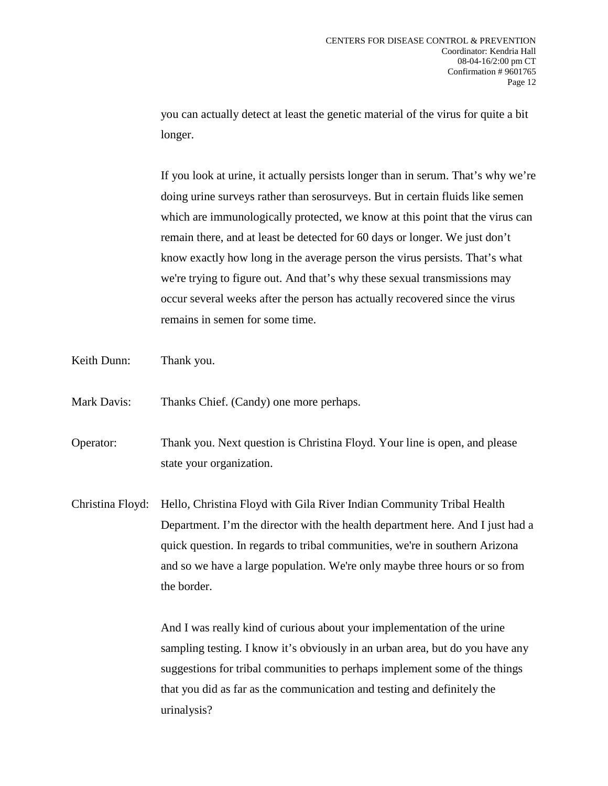you can actually detect at least the genetic material of the virus for quite a bit longer.

If you look at urine, it actually persists longer than in serum. That's why we're doing urine surveys rather than serosurveys. But in certain fluids like semen which are immunologically protected, we know at this point that the virus can remain there, and at least be detected for 60 days or longer. We just don't know exactly how long in the average person the virus persists. That's what we're trying to figure out. And that's why these sexual transmissions may occur several weeks after the person has actually recovered since the virus remains in semen for some time.

Keith Dunn: Thank you.

Mark Davis: Thanks Chief. (Candy) one more perhaps.

Operator: Thank you. Next question is Christina Floyd. Your line is open, and please state your organization.

Christina Floyd: Hello, Christina Floyd with Gila River Indian Community Tribal Health Department. I'm the director with the health department here. And I just had a quick question. In regards to tribal communities, we're in southern Arizona and so we have a large population. We're only maybe three hours or so from the border.

> And I was really kind of curious about your implementation of the urine sampling testing. I know it's obviously in an urban area, but do you have any suggestions for tribal communities to perhaps implement some of the things that you did as far as the communication and testing and definitely the urinalysis?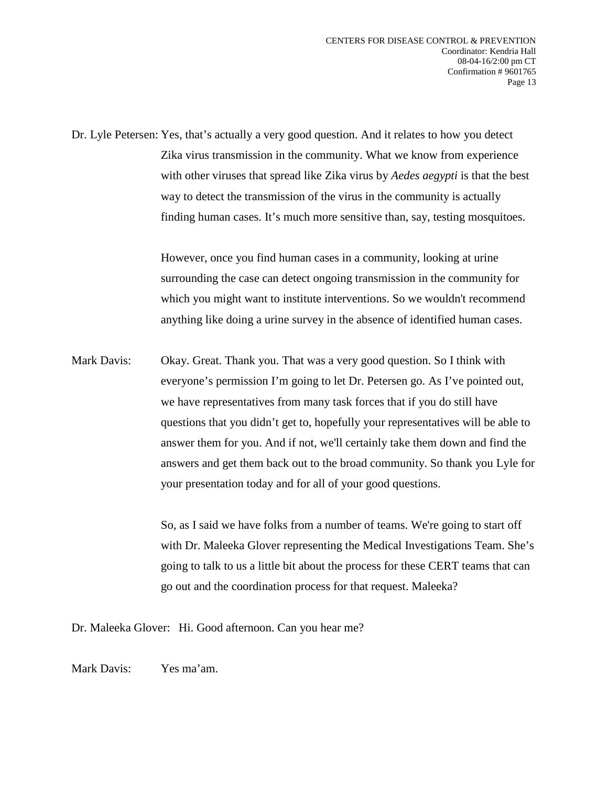Dr. Lyle Petersen: Yes, that's actually a very good question. And it relates to how you detect Zika virus transmission in the community. What we know from experience with other viruses that spread like Zika virus by *Aedes aegypti* is that the best way to detect the transmission of the virus in the community is actually finding human cases. It's much more sensitive than, say, testing mosquitoes.

> However, once you find human cases in a community, looking at urine surrounding the case can detect ongoing transmission in the community for which you might want to institute interventions. So we wouldn't recommend anything like doing a urine survey in the absence of identified human cases.

Mark Davis: Okay. Great. Thank you. That was a very good question. So I think with everyone's permission I'm going to let Dr. Petersen go. As I've pointed out, we have representatives from many task forces that if you do still have questions that you didn't get to, hopefully your representatives will be able to answer them for you. And if not, we'll certainly take them down and find the answers and get them back out to the broad community. So thank you Lyle for your presentation today and for all of your good questions.

> So, as I said we have folks from a number of teams. We're going to start off with Dr. Maleeka Glover representing the Medical Investigations Team. She's going to talk to us a little bit about the process for these CERT teams that can go out and the coordination process for that request. Maleeka?

Dr. Maleeka Glover: Hi. Good afternoon. Can you hear me?

Mark Davis: Yes ma'am.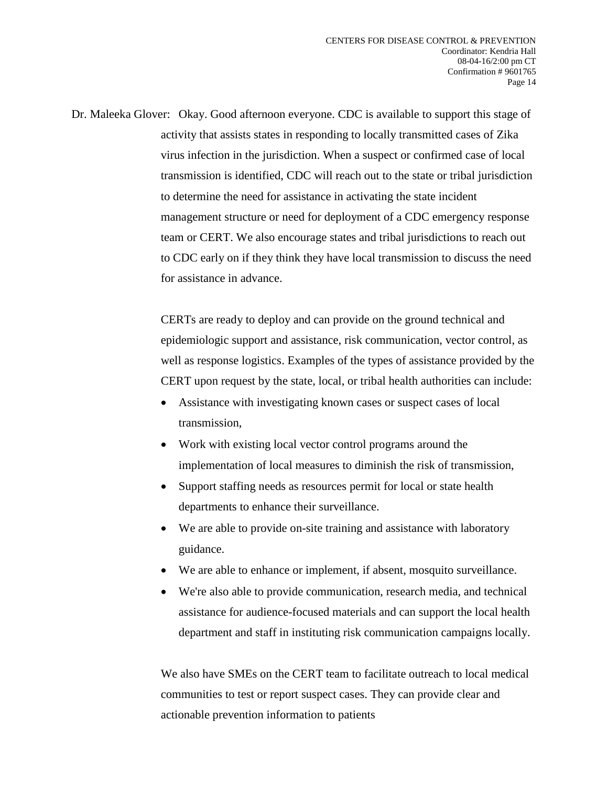Dr. Maleeka Glover: Okay. Good afternoon everyone. CDC is available to support this stage of activity that assists states in responding to locally transmitted cases of Zika virus infection in the jurisdiction. When a suspect or confirmed case of local transmission is identified, CDC will reach out to the state or tribal jurisdiction to determine the need for assistance in activating the state incident management structure or need for deployment of a CDC emergency response team or CERT. We also encourage states and tribal jurisdictions to reach out to CDC early on if they think they have local transmission to discuss the need for assistance in advance.

> CERTs are ready to deploy and can provide on the ground technical and epidemiologic support and assistance, risk communication, vector control, as well as response logistics. Examples of the types of assistance provided by the CERT upon request by the state, local, or tribal health authorities can include:

- Assistance with investigating known cases or suspect cases of local transmission,
- Work with existing local vector control programs around the implementation of local measures to diminish the risk of transmission,
- Support staffing needs as resources permit for local or state health departments to enhance their surveillance.
- We are able to provide on-site training and assistance with laboratory guidance.
- We are able to enhance or implement, if absent, mosquito surveillance.
- We're also able to provide communication, research media, and technical assistance for audience-focused materials and can support the local health department and staff in instituting risk communication campaigns locally.

We also have SMEs on the CERT team to facilitate outreach to local medical communities to test or report suspect cases. They can provide clear and actionable prevention information to patients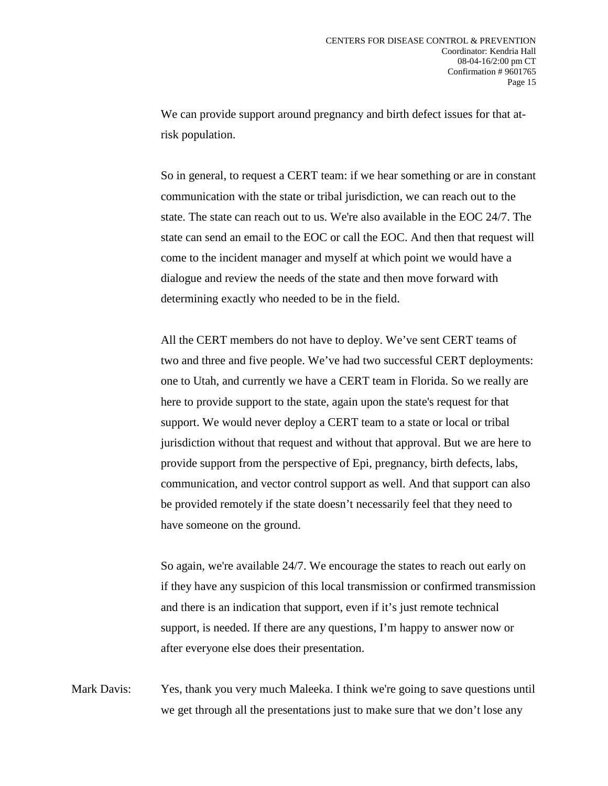We can provide support around pregnancy and birth defect issues for that atrisk population.

So in general, to request a CERT team: if we hear something or are in constant communication with the state or tribal jurisdiction, we can reach out to the state. The state can reach out to us. We're also available in the EOC 24/7. The state can send an email to the EOC or call the EOC. And then that request will come to the incident manager and myself at which point we would have a dialogue and review the needs of the state and then move forward with determining exactly who needed to be in the field.

All the CERT members do not have to deploy. We've sent CERT teams of two and three and five people. We've had two successful CERT deployments: one to Utah, and currently we have a CERT team in Florida. So we really are here to provide support to the state, again upon the state's request for that support. We would never deploy a CERT team to a state or local or tribal jurisdiction without that request and without that approval. But we are here to provide support from the perspective of Epi, pregnancy, birth defects, labs, communication, and vector control support as well. And that support can also be provided remotely if the state doesn't necessarily feel that they need to have someone on the ground.

So again, we're available 24/7. We encourage the states to reach out early on if they have any suspicion of this local transmission or confirmed transmission and there is an indication that support, even if it's just remote technical support, is needed. If there are any questions, I'm happy to answer now or after everyone else does their presentation.

Mark Davis: Yes, thank you very much Maleeka. I think we're going to save questions until we get through all the presentations just to make sure that we don't lose any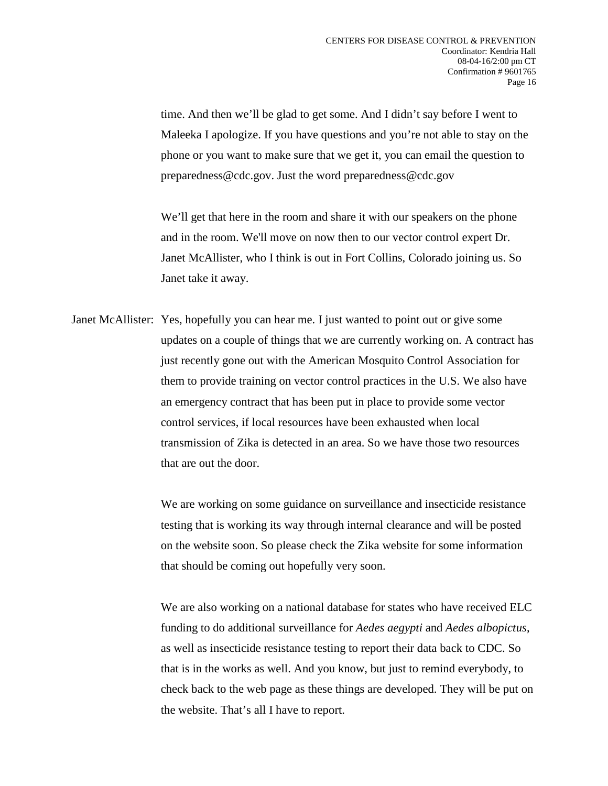time. And then we'll be glad to get some. And I didn't say before I went to Maleeka I apologize. If you have questions and you're not able to stay on the phone or you want to make sure that we get it, you can email the question to preparedness@cdc.gov. Just the word preparedness@cdc.gov

We'll get that here in the room and share it with our speakers on the phone and in the room. We'll move on now then to our vector control expert Dr. Janet McAllister, who I think is out in Fort Collins, Colorado joining us. So Janet take it away.

Janet McAllister: Yes, hopefully you can hear me. I just wanted to point out or give some updates on a couple of things that we are currently working on. A contract has just recently gone out with the American Mosquito Control Association for them to provide training on vector control practices in the U.S. We also have an emergency contract that has been put in place to provide some vector control services, if local resources have been exhausted when local transmission of Zika is detected in an area. So we have those two resources that are out the door.

> We are working on some guidance on surveillance and insecticide resistance testing that is working its way through internal clearance and will be posted on the website soon. So please check the Zika website for some information that should be coming out hopefully very soon.

We are also working on a national database for states who have received ELC funding to do additional surveillance for *Aedes aegypti* and *Aedes albopictus*, as well as insecticide resistance testing to report their data back to CDC. So that is in the works as well. And you know, but just to remind everybody, to check back to the web page as these things are developed. They will be put on the website. That's all I have to report.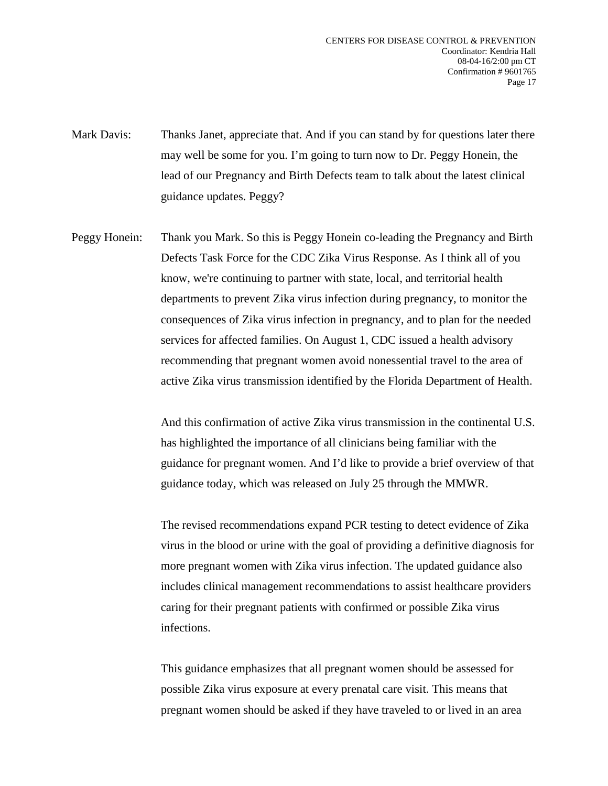Mark Davis: Thanks Janet, appreciate that. And if you can stand by for questions later there may well be some for you. I'm going to turn now to Dr. Peggy Honein, the lead of our Pregnancy and Birth Defects team to talk about the latest clinical guidance updates. Peggy?

Peggy Honein: Thank you Mark. So this is Peggy Honein co-leading the Pregnancy and Birth Defects Task Force for the CDC Zika Virus Response. As I think all of you know, we're continuing to partner with state, local, and territorial health departments to prevent Zika virus infection during pregnancy, to monitor the consequences of Zika virus infection in pregnancy, and to plan for the needed services for affected families. On August 1, CDC issued a health advisory recommending that pregnant women avoid nonessential travel to the area of active Zika virus transmission identified by the Florida Department of Health.

> And this confirmation of active Zika virus transmission in the continental U.S. has highlighted the importance of all clinicians being familiar with the guidance for pregnant women. And I'd like to provide a brief overview of that guidance today, which was released on July 25 through the MMWR.

> The revised recommendations expand PCR testing to detect evidence of Zika virus in the blood or urine with the goal of providing a definitive diagnosis for more pregnant women with Zika virus infection. The updated guidance also includes clinical management recommendations to assist healthcare providers caring for their pregnant patients with confirmed or possible Zika virus infections.

This guidance emphasizes that all pregnant women should be assessed for possible Zika virus exposure at every prenatal care visit. This means that pregnant women should be asked if they have traveled to or lived in an area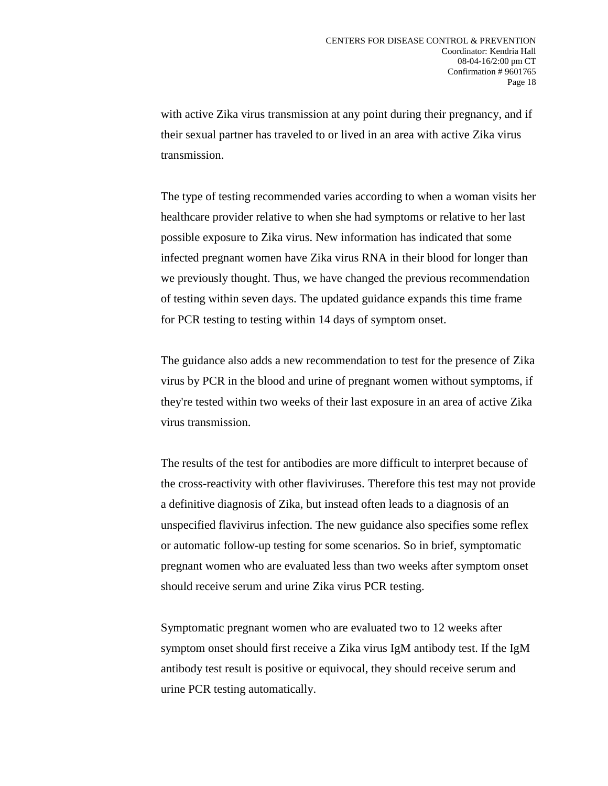with active Zika virus transmission at any point during their pregnancy, and if their sexual partner has traveled to or lived in an area with active Zika virus transmission.

The type of testing recommended varies according to when a woman visits her healthcare provider relative to when she had symptoms or relative to her last possible exposure to Zika virus. New information has indicated that some infected pregnant women have Zika virus RNA in their blood for longer than we previously thought. Thus, we have changed the previous recommendation of testing within seven days. The updated guidance expands this time frame for PCR testing to testing within 14 days of symptom onset.

The guidance also adds a new recommendation to test for the presence of Zika virus by PCR in the blood and urine of pregnant women without symptoms, if they're tested within two weeks of their last exposure in an area of active Zika virus transmission.

The results of the test for antibodies are more difficult to interpret because of the cross-reactivity with other flaviviruses. Therefore this test may not provide a definitive diagnosis of Zika, but instead often leads to a diagnosis of an unspecified flavivirus infection. The new guidance also specifies some reflex or automatic follow-up testing for some scenarios. So in brief, symptomatic pregnant women who are evaluated less than two weeks after symptom onset should receive serum and urine Zika virus PCR testing.

Symptomatic pregnant women who are evaluated two to 12 weeks after symptom onset should first receive a Zika virus IgM antibody test. If the IgM antibody test result is positive or equivocal, they should receive serum and urine PCR testing automatically.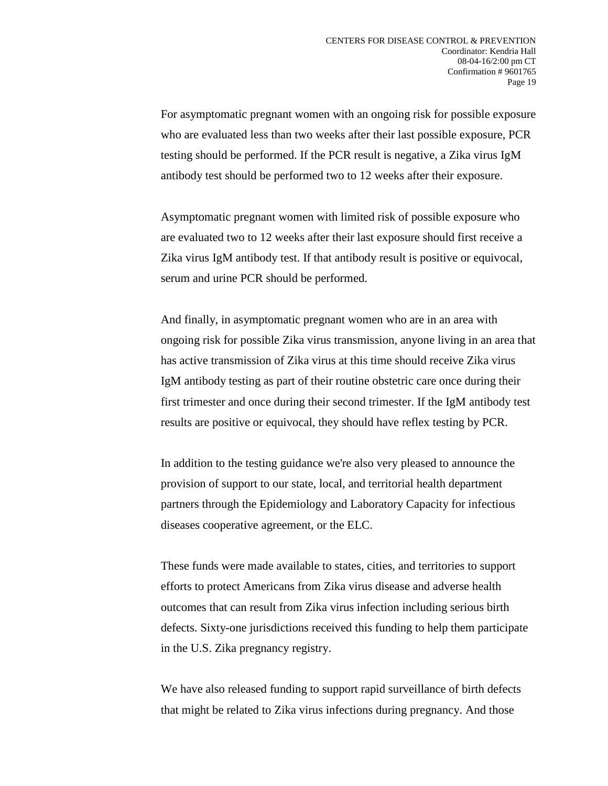For asymptomatic pregnant women with an ongoing risk for possible exposure who are evaluated less than two weeks after their last possible exposure, PCR testing should be performed. If the PCR result is negative, a Zika virus IgM antibody test should be performed two to 12 weeks after their exposure.

Asymptomatic pregnant women with limited risk of possible exposure who are evaluated two to 12 weeks after their last exposure should first receive a Zika virus IgM antibody test. If that antibody result is positive or equivocal, serum and urine PCR should be performed.

And finally, in asymptomatic pregnant women who are in an area with ongoing risk for possible Zika virus transmission, anyone living in an area that has active transmission of Zika virus at this time should receive Zika virus IgM antibody testing as part of their routine obstetric care once during their first trimester and once during their second trimester. If the IgM antibody test results are positive or equivocal, they should have reflex testing by PCR.

In addition to the testing guidance we're also very pleased to announce the provision of support to our state, local, and territorial health department partners through the Epidemiology and Laboratory Capacity for infectious diseases cooperative agreement, or the ELC.

These funds were made available to states, cities, and territories to support efforts to protect Americans from Zika virus disease and adverse health outcomes that can result from Zika virus infection including serious birth defects. Sixty-one jurisdictions received this funding to help them participate in the U.S. Zika pregnancy registry.

We have also released funding to support rapid surveillance of birth defects that might be related to Zika virus infections during pregnancy. And those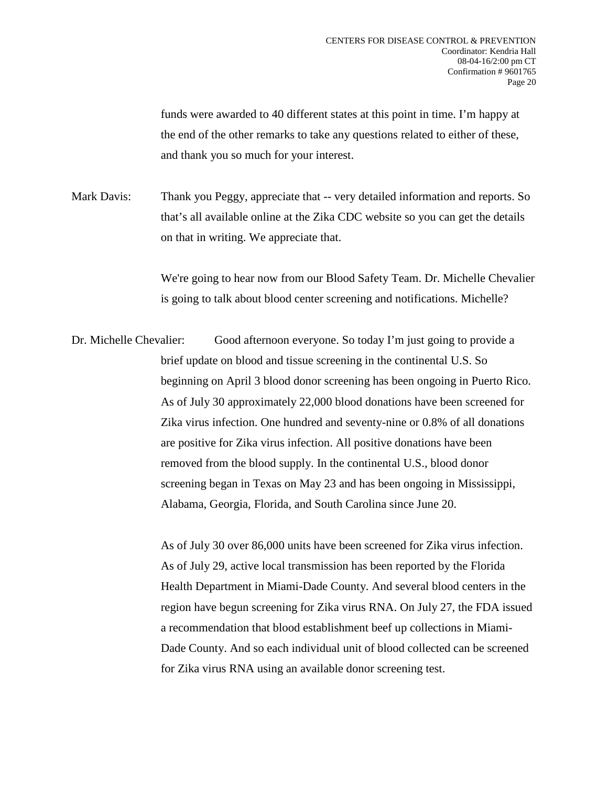funds were awarded to 40 different states at this point in time. I'm happy at the end of the other remarks to take any questions related to either of these, and thank you so much for your interest.

Mark Davis: Thank you Peggy, appreciate that -- very detailed information and reports. So that's all available online at the Zika CDC website so you can get the details on that in writing. We appreciate that.

> We're going to hear now from our Blood Safety Team. Dr. Michelle Chevalier is going to talk about blood center screening and notifications. Michelle?

Dr. Michelle Chevalier: Good afternoon everyone. So today I'm just going to provide a brief update on blood and tissue screening in the continental U.S. So beginning on April 3 blood donor screening has been ongoing in Puerto Rico. As of July 30 approximately 22,000 blood donations have been screened for Zika virus infection. One hundred and seventy-nine or 0.8% of all donations are positive for Zika virus infection. All positive donations have been removed from the blood supply. In the continental U.S., blood donor screening began in Texas on May 23 and has been ongoing in Mississippi, Alabama, Georgia, Florida, and South Carolina since June 20.

> As of July 30 over 86,000 units have been screened for Zika virus infection. As of July 29, active local transmission has been reported by the Florida Health Department in Miami-Dade County. And several blood centers in the region have begun screening for Zika virus RNA. On July 27, the FDA issued a recommendation that blood establishment beef up collections in Miami-Dade County. And so each individual unit of blood collected can be screened for Zika virus RNA using an available donor screening test.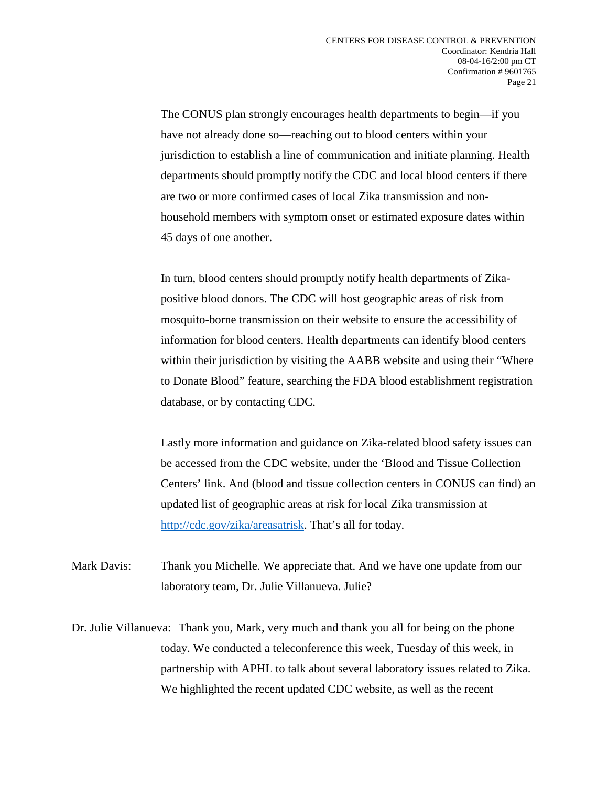The CONUS plan strongly encourages health departments to begin—if you have not already done so—reaching out to blood centers within your jurisdiction to establish a line of communication and initiate planning. Health departments should promptly notify the CDC and local blood centers if there are two or more confirmed cases of local Zika transmission and nonhousehold members with symptom onset or estimated exposure dates within 45 days of one another.

In turn, blood centers should promptly notify health departments of Zikapositive blood donors. The CDC will host geographic areas of risk from mosquito-borne transmission on their website to ensure the accessibility of information for blood centers. Health departments can identify blood centers within their jurisdiction by visiting the AABB website and using their "Where to Donate Blood" feature, searching the FDA blood establishment registration database, or by contacting CDC.

Lastly more information and guidance on Zika-related blood safety issues can be accessed from the CDC website, under the 'Blood and Tissue Collection Centers' link. And (blood and tissue collection centers in CONUS can find) an updated list of geographic areas at risk for local Zika transmission at [http://cdc.gov/zika/areasatrisk.](http://www.cdc.gov/zika/areasatrisk.html) That's all for today.

Mark Davis: Thank you Michelle. We appreciate that. And we have one update from our laboratory team, Dr. Julie Villanueva. Julie?

Dr. Julie Villanueva: Thank you, Mark, very much and thank you all for being on the phone today. We conducted a teleconference this week, Tuesday of this week, in partnership with APHL to talk about several laboratory issues related to Zika. We highlighted the recent updated CDC website, as well as the recent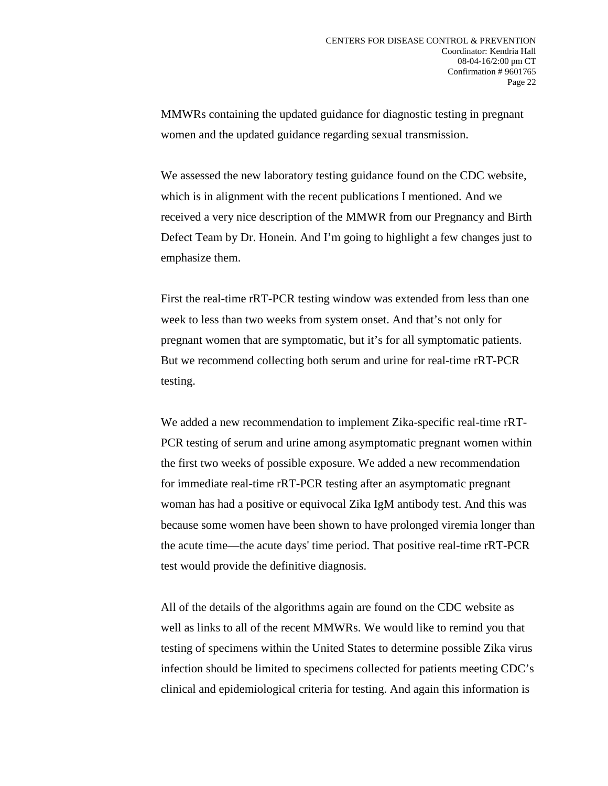MMWRs containing the updated guidance for diagnostic testing in pregnant women and the updated guidance regarding sexual transmission.

We assessed the new laboratory testing guidance found on the CDC website, which is in alignment with the recent publications I mentioned. And we received a very nice description of the MMWR from our Pregnancy and Birth Defect Team by Dr. Honein. And I'm going to highlight a few changes just to emphasize them.

First the real-time rRT-PCR testing window was extended from less than one week to less than two weeks from system onset. And that's not only for pregnant women that are symptomatic, but it's for all symptomatic patients. But we recommend collecting both serum and urine for real-time rRT-PCR testing.

We added a new recommendation to implement Zika-specific real-time rRT-PCR testing of serum and urine among asymptomatic pregnant women within the first two weeks of possible exposure. We added a new recommendation for immediate real-time rRT-PCR testing after an asymptomatic pregnant woman has had a positive or equivocal Zika IgM antibody test. And this was because some women have been shown to have prolonged viremia longer than the acute time—the acute days' time period. That positive real-time rRT-PCR test would provide the definitive diagnosis.

All of the details of the algorithms again are found on the CDC website as well as links to all of the recent MMWRs. We would like to remind you that testing of specimens within the United States to determine possible Zika virus infection should be limited to specimens collected for patients meeting CDC's clinical and epidemiological criteria for testing. And again this information is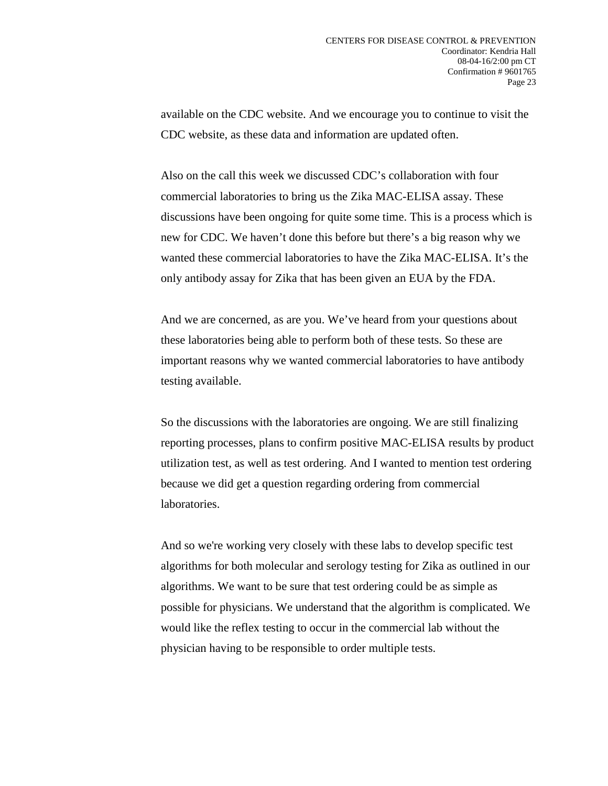available on the CDC website. And we encourage you to continue to visit the CDC website, as these data and information are updated often.

Also on the call this week we discussed CDC's collaboration with four commercial laboratories to bring us the Zika MAC-ELISA assay. These discussions have been ongoing for quite some time. This is a process which is new for CDC. We haven't done this before but there's a big reason why we wanted these commercial laboratories to have the Zika MAC-ELISA. It's the only antibody assay for Zika that has been given an EUA by the FDA.

And we are concerned, as are you. We've heard from your questions about these laboratories being able to perform both of these tests. So these are important reasons why we wanted commercial laboratories to have antibody testing available.

So the discussions with the laboratories are ongoing. We are still finalizing reporting processes, plans to confirm positive MAC-ELISA results by product utilization test, as well as test ordering. And I wanted to mention test ordering because we did get a question regarding ordering from commercial laboratories.

And so we're working very closely with these labs to develop specific test algorithms for both molecular and serology testing for Zika as outlined in our algorithms. We want to be sure that test ordering could be as simple as possible for physicians. We understand that the algorithm is complicated. We would like the reflex testing to occur in the commercial lab without the physician having to be responsible to order multiple tests.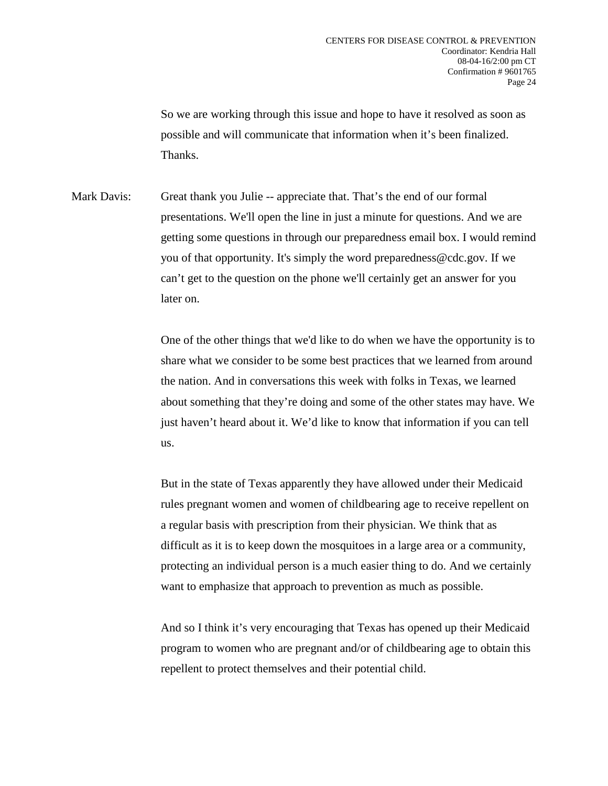So we are working through this issue and hope to have it resolved as soon as possible and will communicate that information when it's been finalized. Thanks.

Mark Davis: Great thank you Julie -- appreciate that. That's the end of our formal presentations. We'll open the line in just a minute for questions. And we are getting some questions in through our preparedness email box. I would remind you of that opportunity. It's simply the word preparedness@cdc.gov. If we can't get to the question on the phone we'll certainly get an answer for you later on.

> One of the other things that we'd like to do when we have the opportunity is to share what we consider to be some best practices that we learned from around the nation. And in conversations this week with folks in Texas, we learned about something that they're doing and some of the other states may have. We just haven't heard about it. We'd like to know that information if you can tell us.

> But in the state of Texas apparently they have allowed under their Medicaid rules pregnant women and women of childbearing age to receive repellent on a regular basis with prescription from their physician. We think that as difficult as it is to keep down the mosquitoes in a large area or a community, protecting an individual person is a much easier thing to do. And we certainly want to emphasize that approach to prevention as much as possible.

> And so I think it's very encouraging that Texas has opened up their Medicaid program to women who are pregnant and/or of childbearing age to obtain this repellent to protect themselves and their potential child.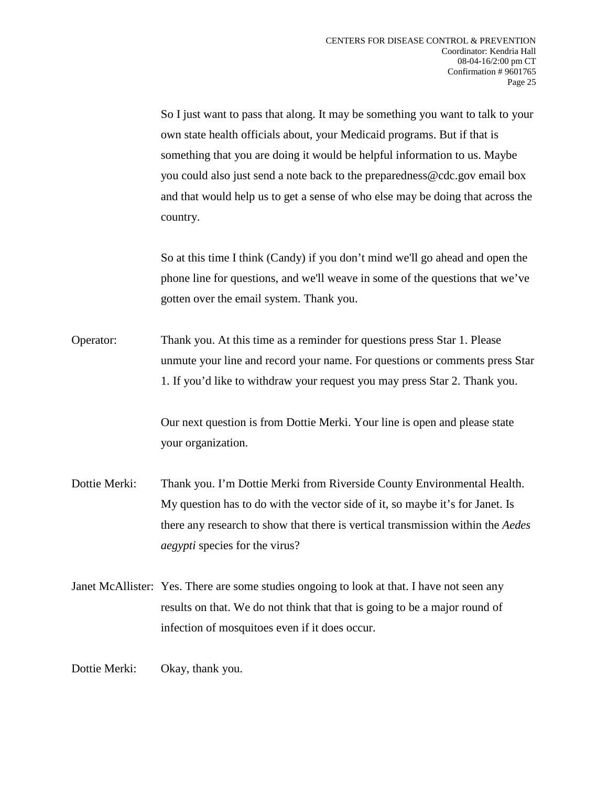So I just want to pass that along. It may be something you want to talk to your own state health officials about, your Medicaid programs. But if that is something that you are doing it would be helpful information to us. Maybe you could also just send a note back to the preparedness@cdc.gov email box and that would help us to get a sense of who else may be doing that across the country.

So at this time I think (Candy) if you don't mind we'll go ahead and open the phone line for questions, and we'll weave in some of the questions that we've gotten over the email system. Thank you.

Operator: Thank you. At this time as a reminder for questions press Star 1. Please unmute your line and record your name. For questions or comments press Star 1. If you'd like to withdraw your request you may press Star 2. Thank you.

> Our next question is from Dottie Merki. Your line is open and please state your organization.

Dottie Merki: Thank you. I'm Dottie Merki from Riverside County Environmental Health. My question has to do with the vector side of it, so maybe it's for Janet. Is there any research to show that there is vertical transmission within the *Aedes aegypti* species for the virus?

Janet McAllister: Yes. There are some studies ongoing to look at that. I have not seen any results on that. We do not think that that is going to be a major round of infection of mosquitoes even if it does occur.

Dottie Merki: Okay, thank you.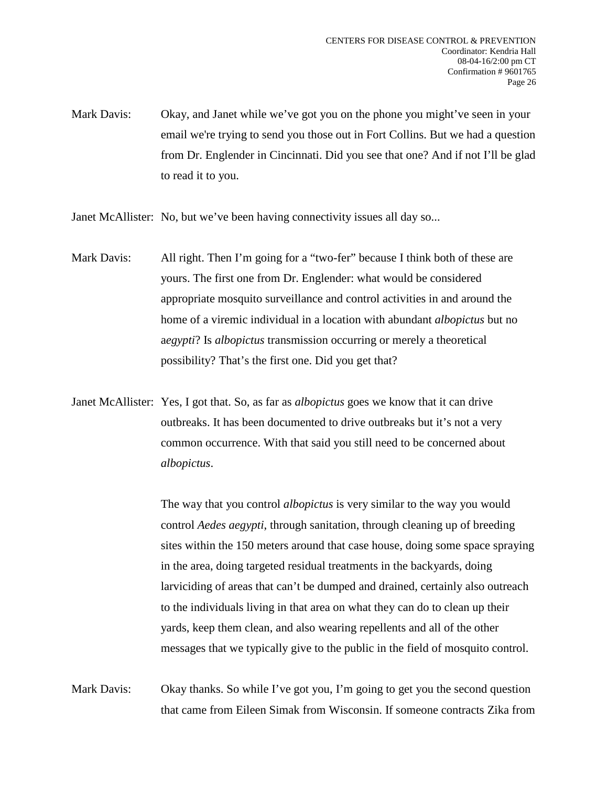Mark Davis: Okay, and Janet while we've got you on the phone you might've seen in your email we're trying to send you those out in Fort Collins. But we had a question from Dr. Englender in Cincinnati. Did you see that one? And if not I'll be glad to read it to you.

Janet McAllister: No, but we've been having connectivity issues all day so...

- Mark Davis: All right. Then I'm going for a "two-fer" because I think both of these are yours. The first one from Dr. Englender: what would be considered appropriate mosquito surveillance and control activities in and around the home of a viremic individual in a location with abundant *albopictus* but no a*egypti*? Is *albopictus* transmission occurring or merely a theoretical possibility? That's the first one. Did you get that?
- Janet McAllister: Yes, I got that. So, as far as *albopictus* goes we know that it can drive outbreaks. It has been documented to drive outbreaks but it's not a very common occurrence. With that said you still need to be concerned about *albopictus*.

The way that you control *albopictus* is very similar to the way you would control *Aedes aegypti*, through sanitation, through cleaning up of breeding sites within the 150 meters around that case house, doing some space spraying in the area, doing targeted residual treatments in the backyards, doing larviciding of areas that can't be dumped and drained, certainly also outreach to the individuals living in that area on what they can do to clean up their yards, keep them clean, and also wearing repellents and all of the other messages that we typically give to the public in the field of mosquito control.

Mark Davis: Okay thanks. So while I've got you, I'm going to get you the second question that came from Eileen Simak from Wisconsin. If someone contracts Zika from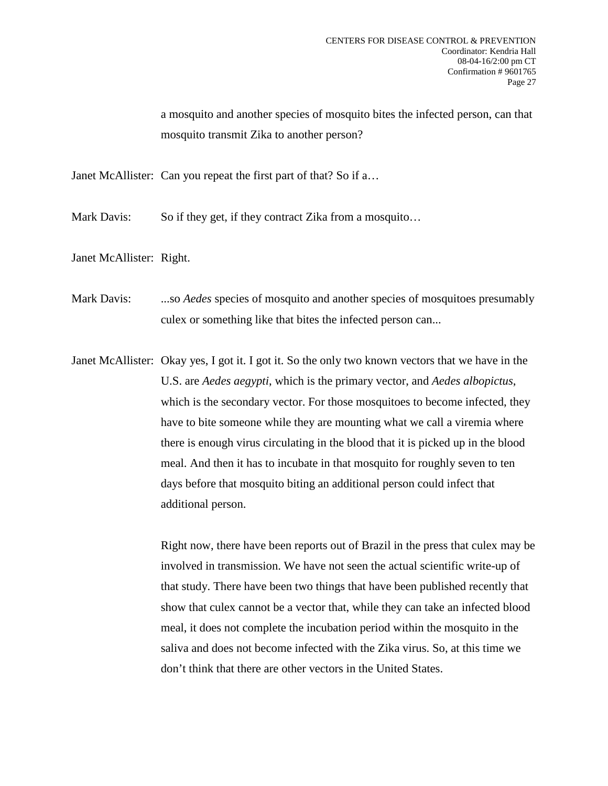a mosquito and another species of mosquito bites the infected person, can that mosquito transmit Zika to another person?

Janet McAllister: Can you repeat the first part of that? So if a…

Mark Davis: So if they get, if they contract Zika from a mosquito...

Janet McAllister: Right.

Mark Davis: ...so *Aedes* species of mosquito and another species of mosquitoes presumably culex or something like that bites the infected person can...

Janet McAllister: Okay yes, I got it. I got it. So the only two known vectors that we have in the U.S. are *Aedes aegypti*, which is the primary vector, and *Aedes albopictus*, which is the secondary vector. For those mosquitoes to become infected, they have to bite someone while they are mounting what we call a viremia where there is enough virus circulating in the blood that it is picked up in the blood meal. And then it has to incubate in that mosquito for roughly seven to ten days before that mosquito biting an additional person could infect that additional person.

> Right now, there have been reports out of Brazil in the press that culex may be involved in transmission. We have not seen the actual scientific write-up of that study. There have been two things that have been published recently that show that culex cannot be a vector that, while they can take an infected blood meal, it does not complete the incubation period within the mosquito in the saliva and does not become infected with the Zika virus. So, at this time we don't think that there are other vectors in the United States.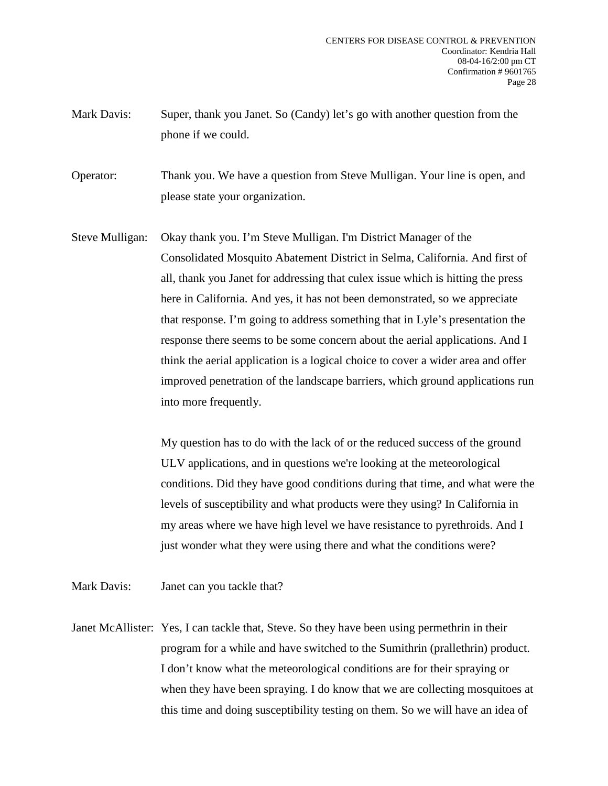Mark Davis: Super, thank you Janet. So (Candy) let's go with another question from the phone if we could.

Operator: Thank you. We have a question from Steve Mulligan. Your line is open, and please state your organization.

Steve Mulligan: Okay thank you. I'm Steve Mulligan. I'm District Manager of the Consolidated Mosquito Abatement District in Selma, California. And first of all, thank you Janet for addressing that culex issue which is hitting the press here in California. And yes, it has not been demonstrated, so we appreciate that response. I'm going to address something that in Lyle's presentation the response there seems to be some concern about the aerial applications. And I think the aerial application is a logical choice to cover a wider area and offer improved penetration of the landscape barriers, which ground applications run into more frequently.

> My question has to do with the lack of or the reduced success of the ground ULV applications, and in questions we're looking at the meteorological conditions. Did they have good conditions during that time, and what were the levels of susceptibility and what products were they using? In California in my areas where we have high level we have resistance to pyrethroids. And I just wonder what they were using there and what the conditions were?

Mark Davis: Janet can you tackle that?

Janet McAllister: Yes, I can tackle that, Steve. So they have been using permethrin in their program for a while and have switched to the Sumithrin (prallethrin) product. I don't know what the meteorological conditions are for their spraying or when they have been spraying. I do know that we are collecting mosquitoes at this time and doing susceptibility testing on them. So we will have an idea of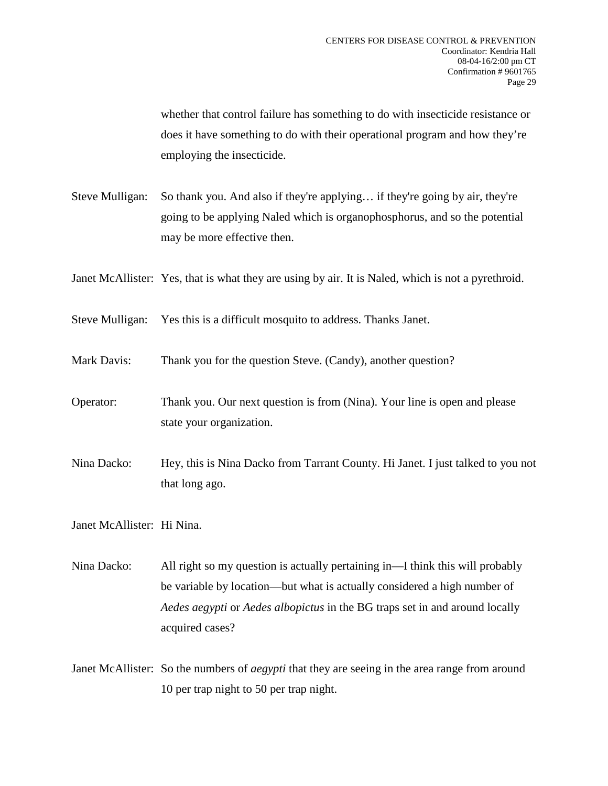whether that control failure has something to do with insecticide resistance or does it have something to do with their operational program and how they're employing the insecticide.

Steve Mulligan: So thank you. And also if they're applying… if they're going by air, they're going to be applying Naled which is organophosphorus, and so the potential may be more effective then.

Janet McAllister: Yes, that is what they are using by air. It is Naled, which is not a pyrethroid.

Steve Mulligan: Yes this is a difficult mosquito to address. Thanks Janet.

- Mark Davis: Thank you for the question Steve. (Candy), another question?
- Operator: Thank you. Our next question is from (Nina). Your line is open and please state your organization.
- Nina Dacko: Hey, this is Nina Dacko from Tarrant County. Hi Janet. I just talked to you not that long ago.

Janet McAllister: Hi Nina.

- Nina Dacko: All right so my question is actually pertaining in—I think this will probably be variable by location—but what is actually considered a high number of *Aedes aegypti* or *Aedes albopictus* in the BG traps set in and around locally acquired cases?
- Janet McAllister: So the numbers of *aegypti* that they are seeing in the area range from around 10 per trap night to 50 per trap night.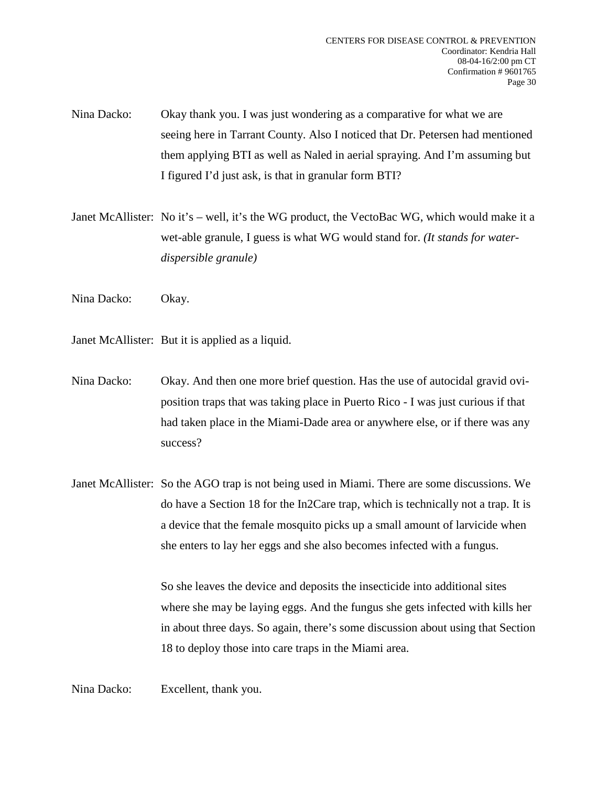- Nina Dacko: Okay thank you. I was just wondering as a comparative for what we are seeing here in Tarrant County. Also I noticed that Dr. Petersen had mentioned them applying BTI as well as Naled in aerial spraying. And I'm assuming but I figured I'd just ask, is that in granular form BTI?
- Janet McAllister: No it's well, it's the WG product, the VectoBac WG, which would make it a wet-able granule, I guess is what WG would stand for. *(It stands for waterdispersible granule)*
- Nina Dacko: Okay.
- Janet McAllister: But it is applied as a liquid.
- Nina Dacko: Okay. And then one more brief question. Has the use of autocidal gravid oviposition traps that was taking place in Puerto Rico - I was just curious if that had taken place in the Miami-Dade area or anywhere else, or if there was any success?
- Janet McAllister: So the AGO trap is not being used in Miami. There are some discussions. We do have a Section 18 for the In2Care trap, which is technically not a trap. It is a device that the female mosquito picks up a small amount of larvicide when she enters to lay her eggs and she also becomes infected with a fungus.

So she leaves the device and deposits the insecticide into additional sites where she may be laying eggs. And the fungus she gets infected with kills her in about three days. So again, there's some discussion about using that Section 18 to deploy those into care traps in the Miami area.

Nina Dacko: Excellent, thank you.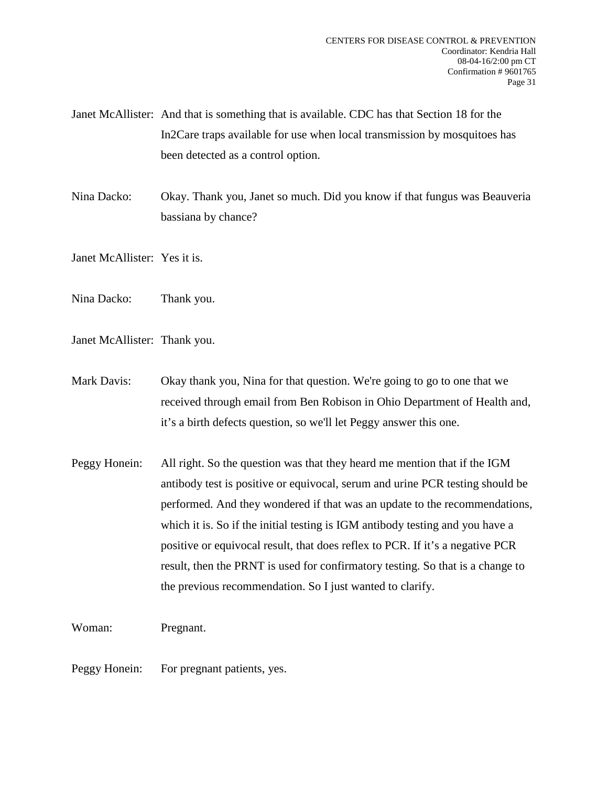- Janet McAllister: And that is something that is available. CDC has that Section 18 for the In2Care traps available for use when local transmission by mosquitoes has been detected as a control option.
- Nina Dacko: Okay. Thank you, Janet so much. Did you know if that fungus was Beauveria bassiana by chance?

Janet McAllister: Yes it is.

Nina Dacko: Thank you.

Janet McAllister: Thank you.

Mark Davis: Okay thank you, Nina for that question. We're going to go to one that we received through email from Ben Robison in Ohio Department of Health and, it's a birth defects question, so we'll let Peggy answer this one.

Peggy Honein: All right. So the question was that they heard me mention that if the IGM antibody test is positive or equivocal, serum and urine PCR testing should be performed. And they wondered if that was an update to the recommendations, which it is. So if the initial testing is IGM antibody testing and you have a positive or equivocal result, that does reflex to PCR. If it's a negative PCR result, then the PRNT is used for confirmatory testing. So that is a change to the previous recommendation. So I just wanted to clarify.

Woman: Pregnant.

Peggy Honein: For pregnant patients, yes.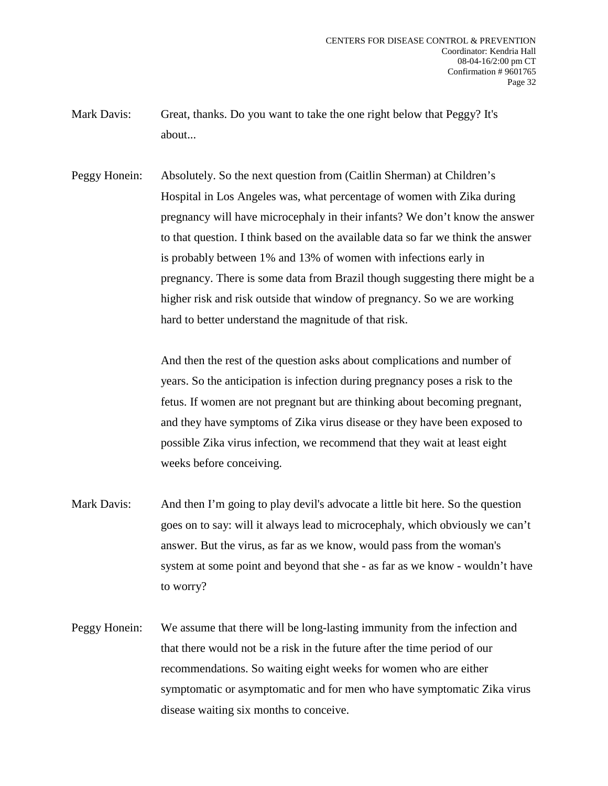- Mark Davis: Great, thanks. Do you want to take the one right below that Peggy? It's about...
- Peggy Honein: Absolutely. So the next question from (Caitlin Sherman) at Children's Hospital in Los Angeles was, what percentage of women with Zika during pregnancy will have microcephaly in their infants? We don't know the answer to that question. I think based on the available data so far we think the answer is probably between 1% and 13% of women with infections early in pregnancy. There is some data from Brazil though suggesting there might be a higher risk and risk outside that window of pregnancy. So we are working hard to better understand the magnitude of that risk.

And then the rest of the question asks about complications and number of years. So the anticipation is infection during pregnancy poses a risk to the fetus. If women are not pregnant but are thinking about becoming pregnant, and they have symptoms of Zika virus disease or they have been exposed to possible Zika virus infection, we recommend that they wait at least eight weeks before conceiving.

- Mark Davis: And then I'm going to play devil's advocate a little bit here. So the question goes on to say: will it always lead to microcephaly, which obviously we can't answer. But the virus, as far as we know, would pass from the woman's system at some point and beyond that she - as far as we know - wouldn't have to worry?
- Peggy Honein: We assume that there will be long-lasting immunity from the infection and that there would not be a risk in the future after the time period of our recommendations. So waiting eight weeks for women who are either symptomatic or asymptomatic and for men who have symptomatic Zika virus disease waiting six months to conceive.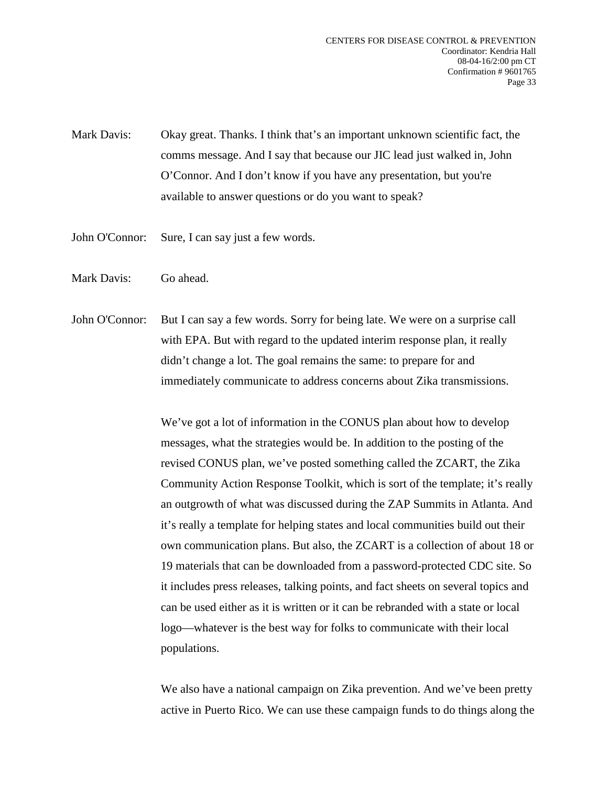- Mark Davis: Okay great. Thanks. I think that's an important unknown scientific fact, the comms message. And I say that because our JIC lead just walked in, John O'Connor. And I don't know if you have any presentation, but you're available to answer questions or do you want to speak?
- John O'Connor: Sure, I can say just a few words.
- Mark Davis: Go ahead.
- John O'Connor: But I can say a few words. Sorry for being late. We were on a surprise call with EPA. But with regard to the updated interim response plan, it really didn't change a lot. The goal remains the same: to prepare for and immediately communicate to address concerns about Zika transmissions.

We've got a lot of information in the CONUS plan about how to develop messages, what the strategies would be. In addition to the posting of the revised CONUS plan, we've posted something called the ZCART, the Zika Community Action Response Toolkit, which is sort of the template; it's really an outgrowth of what was discussed during the ZAP Summits in Atlanta. And it's really a template for helping states and local communities build out their own communication plans. But also, the ZCART is a collection of about 18 or 19 materials that can be downloaded from a password-protected CDC site. So it includes press releases, talking points, and fact sheets on several topics and can be used either as it is written or it can be rebranded with a state or local logo—whatever is the best way for folks to communicate with their local populations.

We also have a national campaign on Zika prevention. And we've been pretty active in Puerto Rico. We can use these campaign funds to do things along the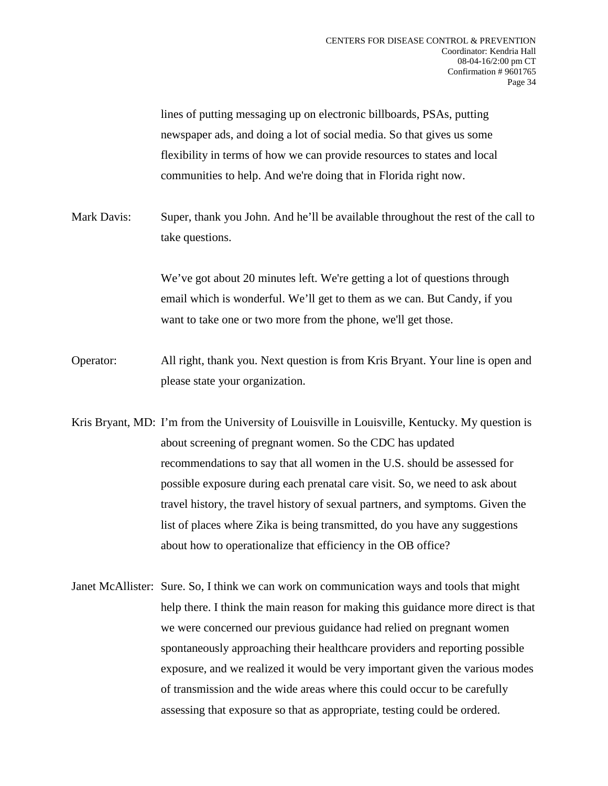lines of putting messaging up on electronic billboards, PSAs, putting newspaper ads, and doing a lot of social media. So that gives us some flexibility in terms of how we can provide resources to states and local communities to help. And we're doing that in Florida right now.

Mark Davis: Super, thank you John. And he'll be available throughout the rest of the call to take questions.

> We've got about 20 minutes left. We're getting a lot of questions through email which is wonderful. We'll get to them as we can. But Candy, if you want to take one or two more from the phone, we'll get those.

- Operator: All right, thank you. Next question is from Kris Bryant. Your line is open and please state your organization.
- Kris Bryant, MD: I'm from the University of Louisville in Louisville, Kentucky. My question is about screening of pregnant women. So the CDC has updated recommendations to say that all women in the U.S. should be assessed for possible exposure during each prenatal care visit. So, we need to ask about travel history, the travel history of sexual partners, and symptoms. Given the list of places where Zika is being transmitted, do you have any suggestions about how to operationalize that efficiency in the OB office?
- Janet McAllister: Sure. So, I think we can work on communication ways and tools that might help there. I think the main reason for making this guidance more direct is that we were concerned our previous guidance had relied on pregnant women spontaneously approaching their healthcare providers and reporting possible exposure, and we realized it would be very important given the various modes of transmission and the wide areas where this could occur to be carefully assessing that exposure so that as appropriate, testing could be ordered.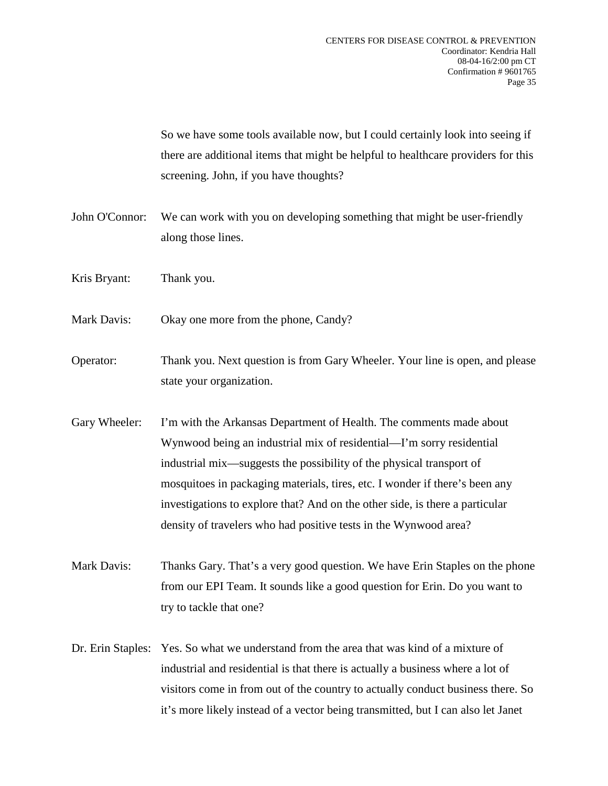So we have some tools available now, but I could certainly look into seeing if there are additional items that might be helpful to healthcare providers for this screening. John, if you have thoughts?

- John O'Connor: We can work with you on developing something that might be user-friendly along those lines.
- Kris Bryant: Thank you.
- Mark Davis: Okay one more from the phone, Candy?
- Operator: Thank you. Next question is from Gary Wheeler. Your line is open, and please state your organization.
- Gary Wheeler: I'm with the Arkansas Department of Health. The comments made about Wynwood being an industrial mix of residential—I'm sorry residential industrial mix—suggests the possibility of the physical transport of mosquitoes in packaging materials, tires, etc. I wonder if there's been any investigations to explore that? And on the other side, is there a particular density of travelers who had positive tests in the Wynwood area?
- Mark Davis: Thanks Gary. That's a very good question. We have Erin Staples on the phone from our EPI Team. It sounds like a good question for Erin. Do you want to try to tackle that one?
- Dr. Erin Staples: Yes. So what we understand from the area that was kind of a mixture of industrial and residential is that there is actually a business where a lot of visitors come in from out of the country to actually conduct business there. So it's more likely instead of a vector being transmitted, but I can also let Janet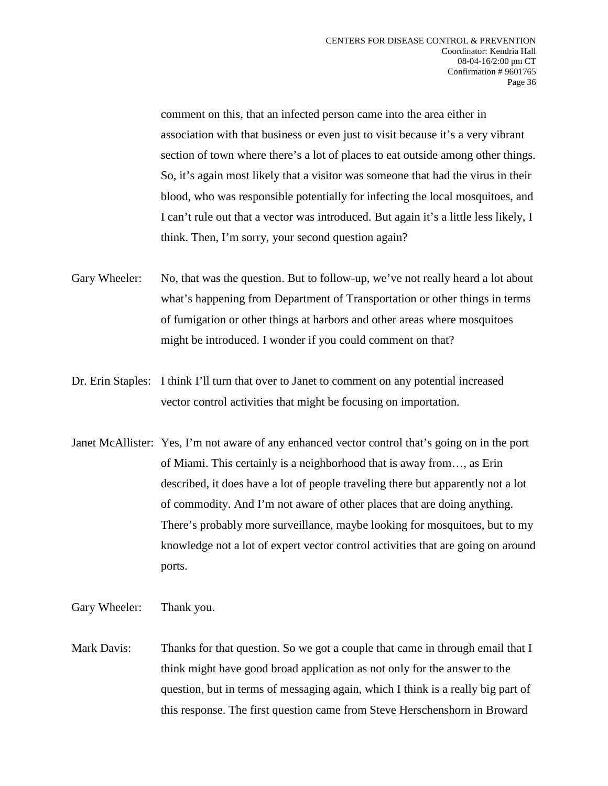comment on this, that an infected person came into the area either in association with that business or even just to visit because it's a very vibrant section of town where there's a lot of places to eat outside among other things. So, it's again most likely that a visitor was someone that had the virus in their blood, who was responsible potentially for infecting the local mosquitoes, and I can't rule out that a vector was introduced. But again it's a little less likely, I think. Then, I'm sorry, your second question again?

- Gary Wheeler: No, that was the question. But to follow-up, we've not really heard a lot about what's happening from Department of Transportation or other things in terms of fumigation or other things at harbors and other areas where mosquitoes might be introduced. I wonder if you could comment on that?
- Dr. Erin Staples: I think I'll turn that over to Janet to comment on any potential increased vector control activities that might be focusing on importation.
- Janet McAllister: Yes, I'm not aware of any enhanced vector control that's going on in the port of Miami. This certainly is a neighborhood that is away from…, as Erin described, it does have a lot of people traveling there but apparently not a lot of commodity. And I'm not aware of other places that are doing anything. There's probably more surveillance, maybe looking for mosquitoes, but to my knowledge not a lot of expert vector control activities that are going on around ports.
- Gary Wheeler: Thank you.
- Mark Davis: Thanks for that question. So we got a couple that came in through email that I think might have good broad application as not only for the answer to the question, but in terms of messaging again, which I think is a really big part of this response. The first question came from Steve Herschenshorn in Broward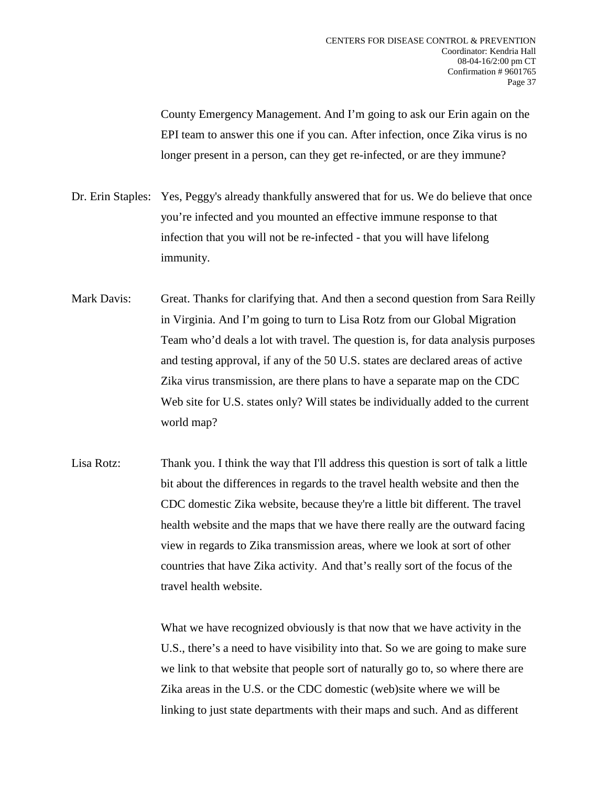County Emergency Management. And I'm going to ask our Erin again on the EPI team to answer this one if you can. After infection, once Zika virus is no longer present in a person, can they get re-infected, or are they immune?

- Dr. Erin Staples: Yes, Peggy's already thankfully answered that for us. We do believe that once you're infected and you mounted an effective immune response to that infection that you will not be re-infected - that you will have lifelong immunity.
- Mark Davis: Great. Thanks for clarifying that. And then a second question from Sara Reilly in Virginia. And I'm going to turn to Lisa Rotz from our Global Migration Team who'd deals a lot with travel. The question is, for data analysis purposes and testing approval, if any of the 50 U.S. states are declared areas of active Zika virus transmission, are there plans to have a separate map on the CDC Web site for U.S. states only? Will states be individually added to the current world map?
- Lisa Rotz: Thank you. I think the way that I'll address this question is sort of talk a little bit about the differences in regards to the travel health website and then the CDC domestic Zika website, because they're a little bit different. The travel health website and the maps that we have there really are the outward facing view in regards to Zika transmission areas, where we look at sort of other countries that have Zika activity. And that's really sort of the focus of the travel health website.

What we have recognized obviously is that now that we have activity in the U.S., there's a need to have visibility into that. So we are going to make sure we link to that website that people sort of naturally go to, so where there are Zika areas in the U.S. or the CDC domestic (web)site where we will be linking to just state departments with their maps and such. And as different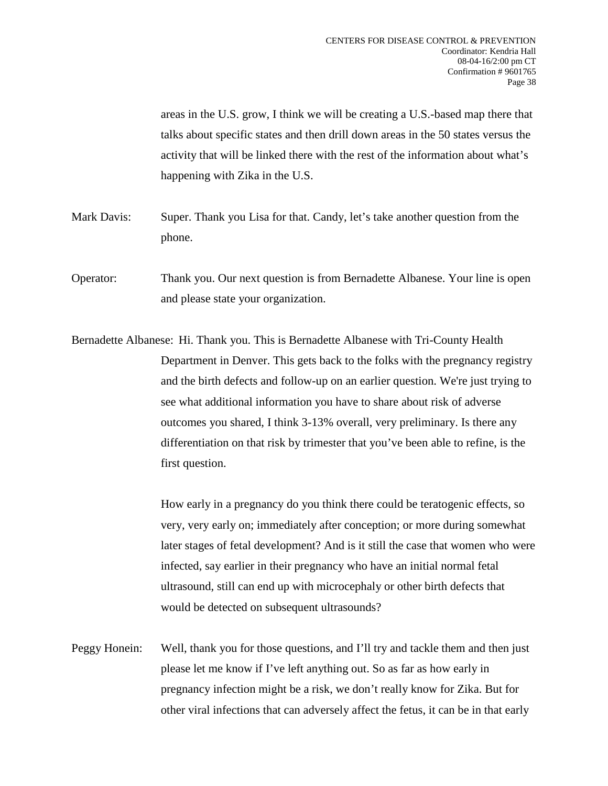areas in the U.S. grow, I think we will be creating a U.S.-based map there that talks about specific states and then drill down areas in the 50 states versus the activity that will be linked there with the rest of the information about what's happening with Zika in the U.S.

- Mark Davis: Super. Thank you Lisa for that. Candy, let's take another question from the phone.
- Operator: Thank you. Our next question is from Bernadette Albanese. Your line is open and please state your organization.
- Bernadette Albanese: Hi. Thank you. This is Bernadette Albanese with Tri-County Health Department in Denver. This gets back to the folks with the pregnancy registry and the birth defects and follow-up on an earlier question. We're just trying to see what additional information you have to share about risk of adverse outcomes you shared, I think 3-13% overall, very preliminary. Is there any differentiation on that risk by trimester that you've been able to refine, is the first question.

How early in a pregnancy do you think there could be teratogenic effects, so very, very early on; immediately after conception; or more during somewhat later stages of fetal development? And is it still the case that women who were infected, say earlier in their pregnancy who have an initial normal fetal ultrasound, still can end up with microcephaly or other birth defects that would be detected on subsequent ultrasounds?

Peggy Honein: Well, thank you for those questions, and I'll try and tackle them and then just please let me know if I've left anything out. So as far as how early in pregnancy infection might be a risk, we don't really know for Zika. But for other viral infections that can adversely affect the fetus, it can be in that early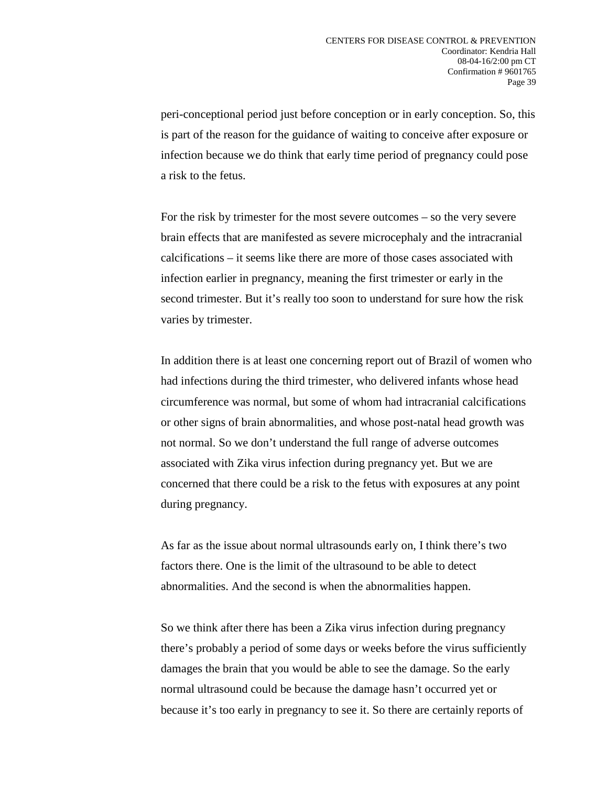peri-conceptional period just before conception or in early conception. So, this is part of the reason for the guidance of waiting to conceive after exposure or infection because we do think that early time period of pregnancy could pose a risk to the fetus.

For the risk by trimester for the most severe outcomes – so the very severe brain effects that are manifested as severe microcephaly and the intracranial calcifications – it seems like there are more of those cases associated with infection earlier in pregnancy, meaning the first trimester or early in the second trimester. But it's really too soon to understand for sure how the risk varies by trimester.

In addition there is at least one concerning report out of Brazil of women who had infections during the third trimester, who delivered infants whose head circumference was normal, but some of whom had intracranial calcifications or other signs of brain abnormalities, and whose post-natal head growth was not normal. So we don't understand the full range of adverse outcomes associated with Zika virus infection during pregnancy yet. But we are concerned that there could be a risk to the fetus with exposures at any point during pregnancy.

As far as the issue about normal ultrasounds early on, I think there's two factors there. One is the limit of the ultrasound to be able to detect abnormalities. And the second is when the abnormalities happen.

So we think after there has been a Zika virus infection during pregnancy there's probably a period of some days or weeks before the virus sufficiently damages the brain that you would be able to see the damage. So the early normal ultrasound could be because the damage hasn't occurred yet or because it's too early in pregnancy to see it. So there are certainly reports of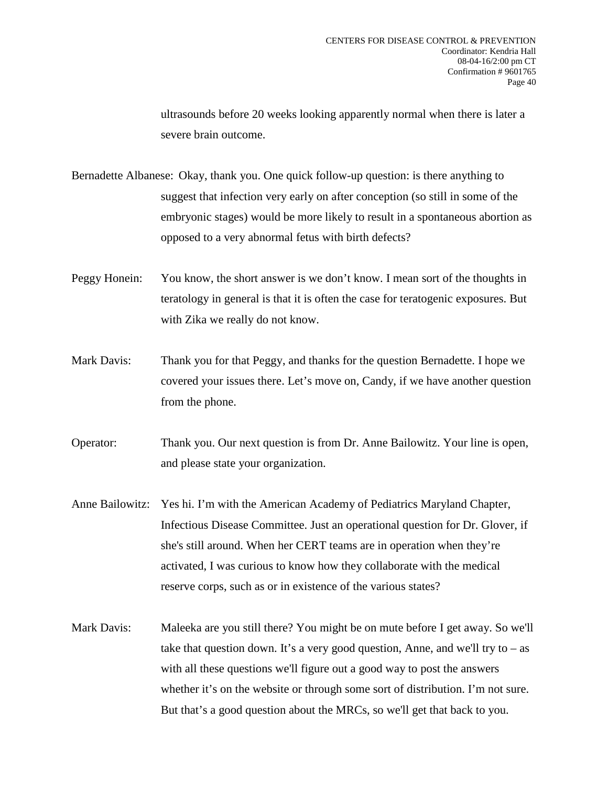ultrasounds before 20 weeks looking apparently normal when there is later a severe brain outcome.

Bernadette Albanese: Okay, thank you. One quick follow-up question: is there anything to suggest that infection very early on after conception (so still in some of the embryonic stages) would be more likely to result in a spontaneous abortion as opposed to a very abnormal fetus with birth defects?

- Peggy Honein: You know, the short answer is we don't know. I mean sort of the thoughts in teratology in general is that it is often the case for teratogenic exposures. But with Zika we really do not know.
- Mark Davis: Thank you for that Peggy, and thanks for the question Bernadette. I hope we covered your issues there. Let's move on, Candy, if we have another question from the phone.

Operator: Thank you. Our next question is from Dr. Anne Bailowitz. Your line is open, and please state your organization.

- Anne Bailowitz: Yes hi. I'm with the American Academy of Pediatrics Maryland Chapter, Infectious Disease Committee. Just an operational question for Dr. Glover, if she's still around. When her CERT teams are in operation when they're activated, I was curious to know how they collaborate with the medical reserve corps, such as or in existence of the various states?
- Mark Davis: Maleeka are you still there? You might be on mute before I get away. So we'll take that question down. It's a very good question, Anne, and we'll try to  $-$  as with all these questions we'll figure out a good way to post the answers whether it's on the website or through some sort of distribution. I'm not sure. But that's a good question about the MRCs, so we'll get that back to you.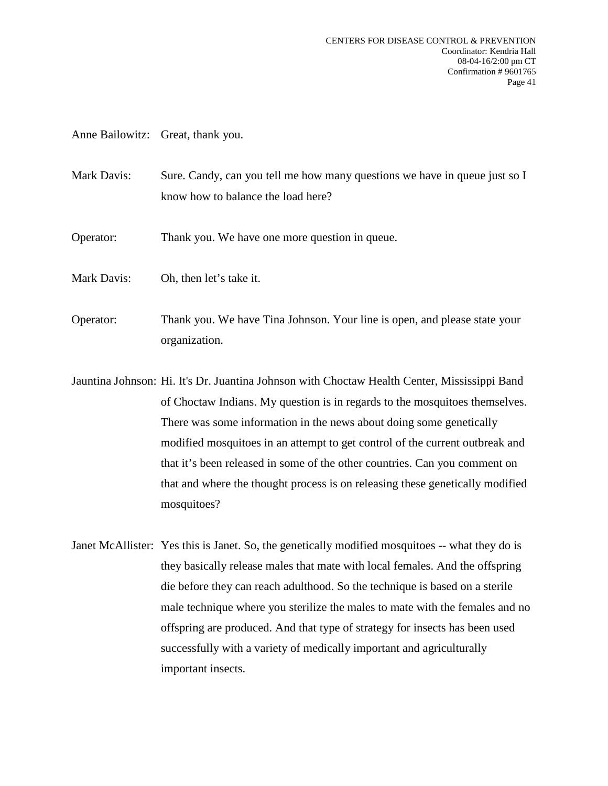Anne Bailowitz: Great, thank you.

- Mark Davis: Sure. Candy, can you tell me how many questions we have in queue just so I know how to balance the load here?
- Operator: Thank you. We have one more question in queue.
- Mark Davis: Oh, then let's take it.
- Operator: Thank you. We have Tina Johnson. Your line is open, and please state your organization.
- Jauntina Johnson: Hi. It's Dr. Juantina Johnson with Choctaw Health Center, Mississippi Band of Choctaw Indians. My question is in regards to the mosquitoes themselves. There was some information in the news about doing some genetically modified mosquitoes in an attempt to get control of the current outbreak and that it's been released in some of the other countries. Can you comment on that and where the thought process is on releasing these genetically modified mosquitoes?
- Janet McAllister: Yes this is Janet. So, the genetically modified mosquitoes -- what they do is they basically release males that mate with local females. And the offspring die before they can reach adulthood. So the technique is based on a sterile male technique where you sterilize the males to mate with the females and no offspring are produced. And that type of strategy for insects has been used successfully with a variety of medically important and agriculturally important insects.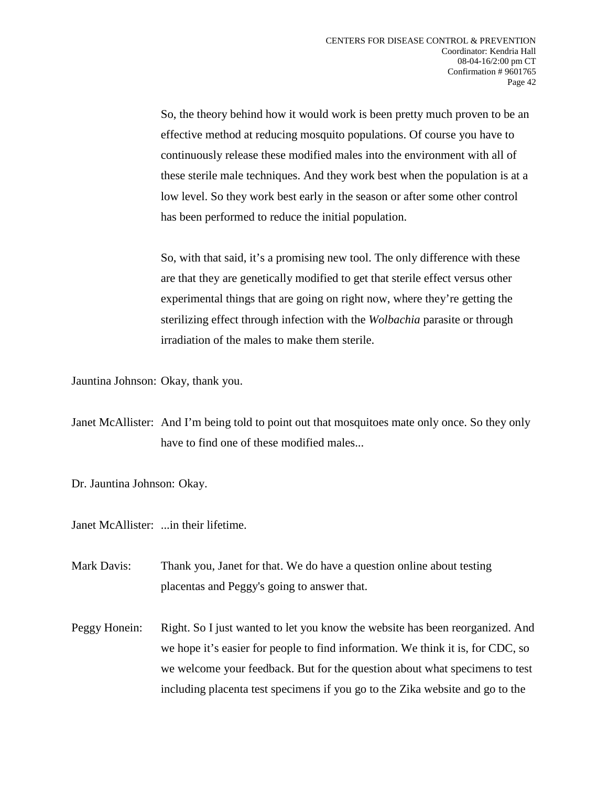So, the theory behind how it would work is been pretty much proven to be an effective method at reducing mosquito populations. Of course you have to continuously release these modified males into the environment with all of these sterile male techniques. And they work best when the population is at a low level. So they work best early in the season or after some other control has been performed to reduce the initial population.

So, with that said, it's a promising new tool. The only difference with these are that they are genetically modified to get that sterile effect versus other experimental things that are going on right now, where they're getting the sterilizing effect through infection with the *Wolbachia* parasite or through irradiation of the males to make them sterile.

Jauntina Johnson: Okay, thank you.

Janet McAllister: And I'm being told to point out that mosquitoes mate only once. So they only have to find one of these modified males...

Dr. Jauntina Johnson: Okay.

Janet McAllister: ...in their lifetime.

Mark Davis: Thank you, Janet for that. We do have a question online about testing placentas and Peggy's going to answer that.

Peggy Honein: Right. So I just wanted to let you know the website has been reorganized. And we hope it's easier for people to find information. We think it is, for CDC, so we welcome your feedback. But for the question about what specimens to test including placenta test specimens if you go to the Zika website and go to the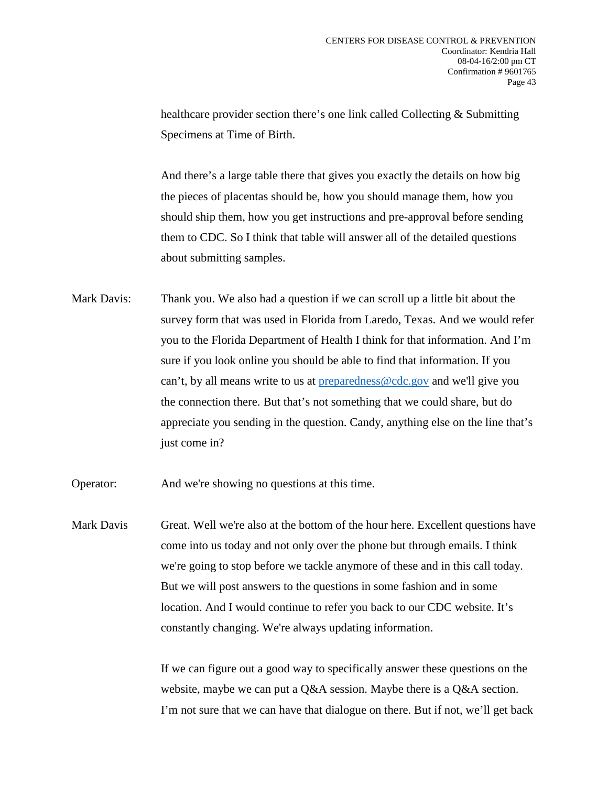healthcare provider section there's one link called Collecting & Submitting Specimens at Time of Birth.

And there's a large table there that gives you exactly the details on how big the pieces of placentas should be, how you should manage them, how you should ship them, how you get instructions and pre-approval before sending them to CDC. So I think that table will answer all of the detailed questions about submitting samples.

Mark Davis: Thank you. We also had a question if we can scroll up a little bit about the survey form that was used in Florida from Laredo, Texas. And we would refer you to the Florida Department of Health I think for that information. And I'm sure if you look online you should be able to find that information. If you can't, by all means write to us at [preparedness@cdc.gov](mailto:preparedness@cdc.gov) and we'll give you the connection there. But that's not something that we could share, but do appreciate you sending in the question. Candy, anything else on the line that's just come in?

Operator: And we're showing no questions at this time.

Mark Davis Great. Well we're also at the bottom of the hour here. Excellent questions have come into us today and not only over the phone but through emails. I think we're going to stop before we tackle anymore of these and in this call today. But we will post answers to the questions in some fashion and in some location. And I would continue to refer you back to our CDC website. It's constantly changing. We're always updating information.

> If we can figure out a good way to specifically answer these questions on the website, maybe we can put a Q&A session. Maybe there is a Q&A section. I'm not sure that we can have that dialogue on there. But if not, we'll get back